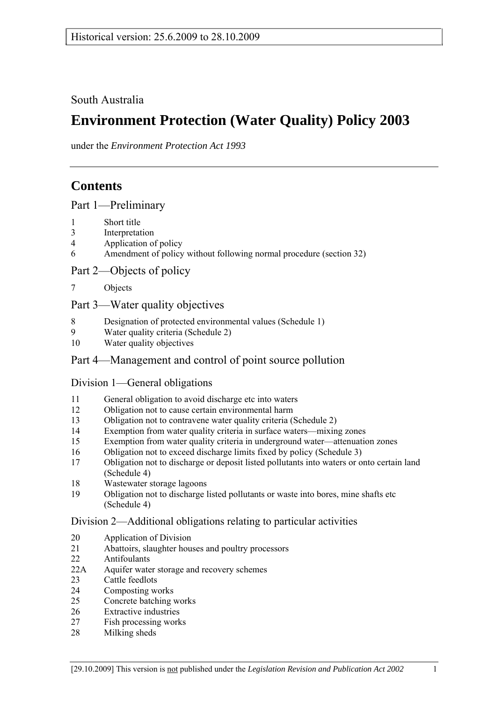South Australia

# **Environment Protection (Water Quality) Policy 2003**

under the *Environment Protection Act 1993*

# **Contents**

Part 1-Preliminary

- 1 Short title
- 3 Interpretation
- 4 Application of policy
- 6 Amendment of policy without following normal procedure (section 32)

Part 2—Objects of policy

7 Objects

## Part 3—Water quality objectives

- 8 Designation of protected environmental values (Schedule 1)
- 9 Water quality criteria (Schedule 2)
- 10 Water quality objectives

## Part 4—Management and control of point source pollution

### Division 1—General obligations

- 11 General obligation to avoid discharge etc into waters
- 12 Obligation not to cause certain environmental harm
- 13 Obligation not to contravene water quality criteria (Schedule 2)
- 14 Exemption from water quality criteria in surface waters—mixing zones
- 15 Exemption from water quality criteria in underground water—attenuation zones
- 16 Obligation not to exceed discharge limits fixed by policy (Schedule 3)
- 17 Obligation not to discharge or deposit listed pollutants into waters or onto certain land (Schedule 4)
- 18 Wastewater storage lagoons
- 19 Obligation not to discharge listed pollutants or waste into bores, mine shafts etc (Schedule 4)

### Division 2—Additional obligations relating to particular activities

- 20 Application of Division
- 21 Abattoirs, slaughter houses and poultry processors
- 22 Antifoulants
- 22A Aquifer water storage and recovery schemes
- 23 Cattle feedlots
- 24 Composting works
- 25 Concrete batching works
- 26 Extractive industries
- 27 Fish processing works
- 28 Milking sheds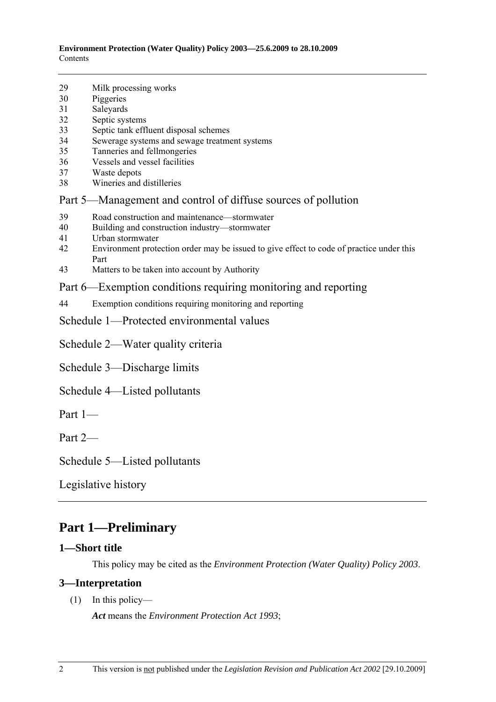- 29 Milk processing works
- 30 Piggeries
- 31 Saleyards
- 32 Septic systems
- 33 Septic tank effluent disposal schemes
- 34 Sewerage systems and sewage treatment systems
- 35 Tanneries and fellmongeries
- 36 Vessels and vessel facilities
- 37 Waste depots
- 38 Wineries and distilleries

## Part 5—Management and control of diffuse sources of pollution

- 39 Road construction and maintenance—stormwater
- 40 Building and construction industry—stormwater
- 41 Urban stormwater
- 42 Environment protection order may be issued to give effect to code of practice under this Part
- 43 Matters to be taken into account by Authority

## Part 6—Exemption conditions requiring monitoring and reporting

- 44 Exemption conditions requiring monitoring and reporting
- Schedule 1—Protected environmental values

Schedule 2—Water quality criteria

Schedule 3—Discharge limits

- Schedule 4—Listed pollutants
- Part  $1$ —

Part  $2-$ 

Schedule 5—Listed pollutants

Legislative history

## **Part 1—Preliminary**

### **1—Short title**

This policy may be cited as the *Environment Protection (Water Quality) Policy 2003*.

### **3—Interpretation**

 $(1)$  In this policy—

*Act* means the *Environment Protection Act 1993*;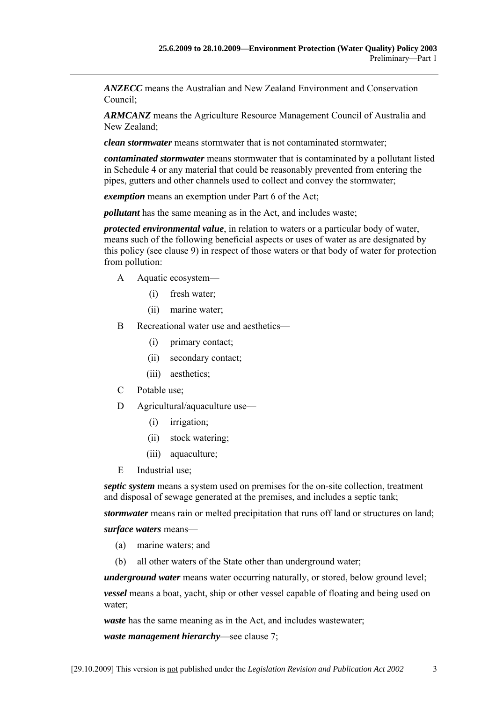*ANZECC* means the Australian and New Zealand Environment and Conservation Council;

*ARMCANZ* means the Agriculture Resource Management Council of Australia and New Zealand;

*clean stormwater* means stormwater that is not contaminated stormwater;

*contaminated stormwater* means stormwater that is contaminated by a pollutant listed in Schedule 4 or any material that could be reasonably prevented from entering the pipes, gutters and other channels used to collect and convey the stormwater;

*exemption* means an exemption under Part 6 of the Act;

*pollutant* has the same meaning as in the Act, and includes waste;

*protected environmental value*, in relation to waters or a particular body of water, means such of the following beneficial aspects or uses of water as are designated by this policy (see clause 9) in respect of those waters or that body of water for protection from pollution:

- A Aquatic ecosystem—
	- (i) fresh water;
	- (ii) marine water;
- B Recreational water use and aesthetics—
	- (i) primary contact;
	- (ii) secondary contact;
	- (iii) aesthetics;
- C Potable use;
- $D$  Agricultural/aquaculture use—
	- (i) irrigation;
	- (ii) stock watering;
	- (iii) aquaculture;
- E Industrial use;

*septic system* means a system used on premises for the on-site collection, treatment and disposal of sewage generated at the premises, and includes a septic tank;

*stormwater* means rain or melted precipitation that runs off land or structures on land;

surface waters means-

- (a) marine waters; and
- (b) all other waters of the State other than underground water;

*underground water* means water occurring naturally, or stored, below ground level;

*vessel* means a boat, yacht, ship or other vessel capable of floating and being used on water;

*waste* has the same meaning as in the Act, and includes wastewater;

*waste management hierarchy*—see clause 7;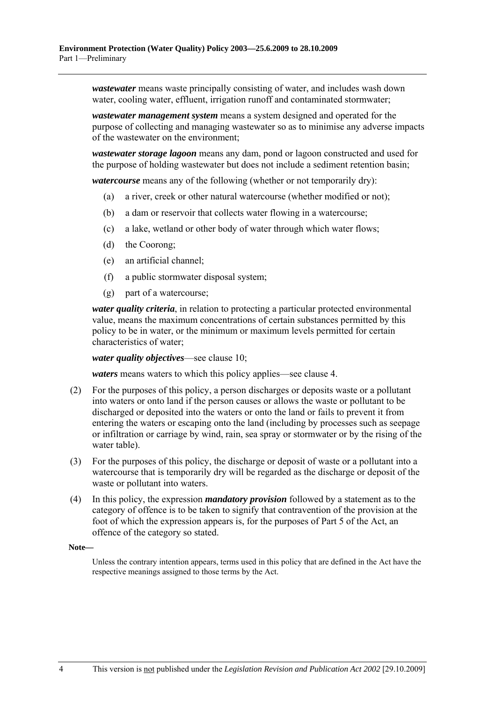*wastewater* means waste principally consisting of water, and includes wash down water, cooling water, effluent, irrigation runoff and contaminated stormwater;

*wastewater management system* means a system designed and operated for the purpose of collecting and managing wastewater so as to minimise any adverse impacts of the wastewater on the environment;

*wastewater storage lagoon* means any dam, pond or lagoon constructed and used for the purpose of holding wastewater but does not include a sediment retention basin;

*watercourse* means any of the following (whether or not temporarily dry):

- (a) a river, creek or other natural watercourse (whether modified or not);
- (b) a dam or reservoir that collects water flowing in a watercourse;
- (c) a lake, wetland or other body of water through which water flows;
- (d) the Coorong;
- (e) an artificial channel;
- (f) a public stormwater disposal system;
- (g) part of a watercourse;

*water quality criteria*, in relation to protecting a particular protected environmental value, means the maximum concentrations of certain substances permitted by this policy to be in water, or the minimum or maximum levels permitted for certain characteristics of water;

*water quality objectives*—see clause 10;

*waters* means waters to which this policy applies—see clause 4.

- (2) For the purposes of this policy, a person discharges or deposits waste or a pollutant into waters or onto land if the person causes or allows the waste or pollutant to be discharged or deposited into the waters or onto the land or fails to prevent it from entering the waters or escaping onto the land (including by processes such as seepage or infiltration or carriage by wind, rain, sea spray or stormwater or by the rising of the water table).
- (3) For the purposes of this policy, the discharge or deposit of waste or a pollutant into a watercourse that is temporarily dry will be regarded as the discharge or deposit of the waste or pollutant into waters.
- (4) In this policy, the expression *mandatory provision* followed by a statement as to the category of offence is to be taken to signify that contravention of the provision at the foot of which the expression appears is, for the purposes of Part 5 of the Act, an offence of the category so stated.

#### **Note—**

Unless the contrary intention appears, terms used in this policy that are defined in the Act have the respective meanings assigned to those terms by the Act.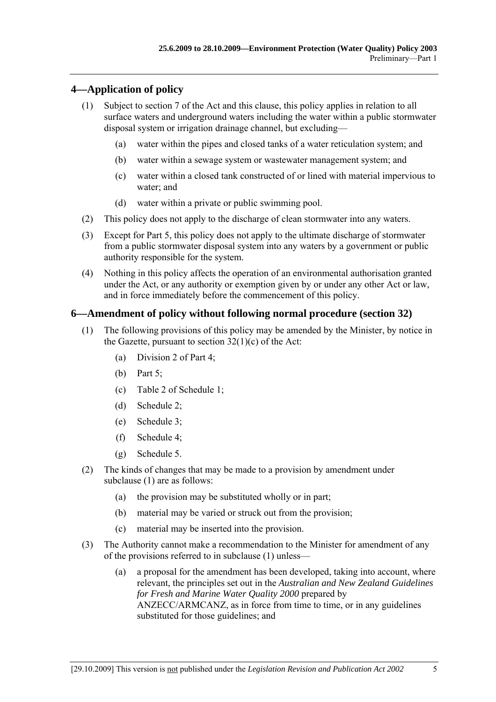### **4—Application of policy**

- (1) Subject to section 7 of the Act and this clause, this policy applies in relation to all surface waters and underground waters including the water within a public stormwater disposal system or irrigation drainage channel, but excluding—
	- (a) water within the pipes and closed tanks of a water reticulation system; and
	- (b) water within a sewage system or wastewater management system; and
	- (c) water within a closed tank constructed of or lined with material impervious to water; and
	- (d) water within a private or public swimming pool.
- (2) This policy does not apply to the discharge of clean stormwater into any waters.
- (3) Except for Part 5, this policy does not apply to the ultimate discharge of stormwater from a public stormwater disposal system into any waters by a government or public authority responsible for the system.
- (4) Nothing in this policy affects the operation of an environmental authorisation granted under the Act, or any authority or exemption given by or under any other Act or law, and in force immediately before the commencement of this policy.

### **6—Amendment of policy without following normal procedure (section 32)**

- (1) The following provisions of this policy may be amended by the Minister, by notice in the Gazette, pursuant to section 32(1)(c) of the Act:
	- (a) Division 2 of Part 4;
	- (b) Part 5;
	- (c) Table 2 of Schedule 1;
	- (d) Schedule 2;
	- (e) Schedule 3;
	- (f) Schedule 4;
	- (g) Schedule 5.
- (2) The kinds of changes that may be made to a provision by amendment under subclause (1) are as follows:
	- (a) the provision may be substituted wholly or in part;
	- (b) material may be varied or struck out from the provision;
	- (c) material may be inserted into the provision.
- (3) The Authority cannot make a recommendation to the Minister for amendment of any of the provisions referred to in subclause  $(1)$  unless—
	- (a) a proposal for the amendment has been developed, taking into account, where relevant, the principles set out in the *Australian and New Zealand Guidelines for Fresh and Marine Water Quality 2000* prepared by ANZECC/ARMCANZ, as in force from time to time, or in any guidelines substituted for those guidelines; and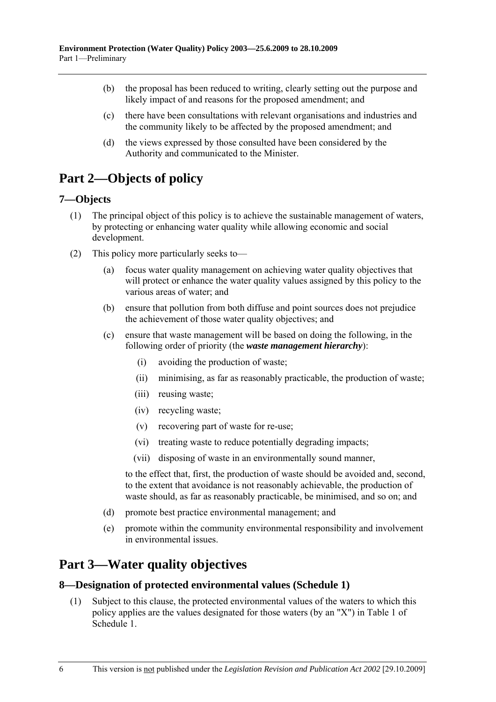- (b) the proposal has been reduced to writing, clearly setting out the purpose and likely impact of and reasons for the proposed amendment; and
- (c) there have been consultations with relevant organisations and industries and the community likely to be affected by the proposed amendment; and
- (d) the views expressed by those consulted have been considered by the Authority and communicated to the Minister.

# **Part 2—Objects of policy**

#### **7—Objects**

- (1) The principal object of this policy is to achieve the sustainable management of waters, by protecting or enhancing water quality while allowing economic and social development.
- (2) This policy more particularly seeks to  $\overline{\phantom{a}}$ 
	- (a) focus water quality management on achieving water quality objectives that will protect or enhance the water quality values assigned by this policy to the various areas of water; and
	- (b) ensure that pollution from both diffuse and point sources does not prejudice the achievement of those water quality objectives; and
	- (c) ensure that waste management will be based on doing the following, in the following order of priority (the *waste management hierarchy*):
		- (i) avoiding the production of waste;
		- (ii) minimising, as far as reasonably practicable, the production of waste;
		- (iii) reusing waste;
		- (iv) recycling waste;
		- (v) recovering part of waste for re-use;
		- (vi) treating waste to reduce potentially degrading impacts;
		- (vii) disposing of waste in an environmentally sound manner,

to the effect that, first, the production of waste should be avoided and, second, to the extent that avoidance is not reasonably achievable, the production of waste should, as far as reasonably practicable, be minimised, and so on; and

- (d) promote best practice environmental management; and
- (e) promote within the community environmental responsibility and involvement in environmental issues.

# **Part 3—Water quality objectives**

#### **8—Designation of protected environmental values (Schedule 1)**

 (1) Subject to this clause, the protected environmental values of the waters to which this policy applies are the values designated for those waters (by an "X") in Table 1 of Schedule 1.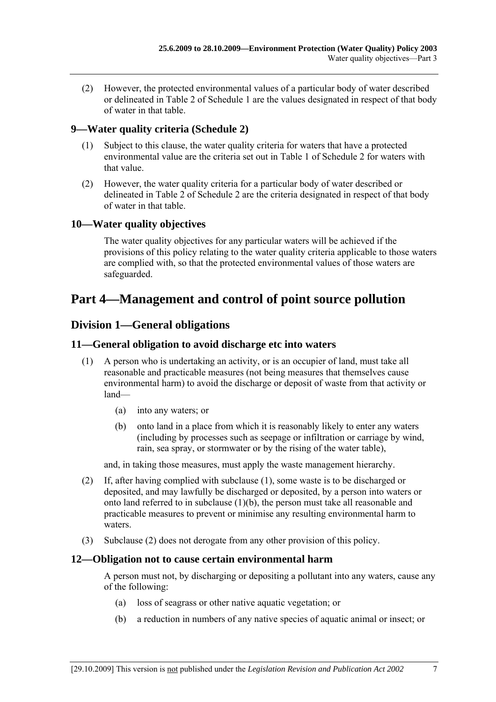(2) However, the protected environmental values of a particular body of water described or delineated in Table 2 of Schedule 1 are the values designated in respect of that body of water in that table.

#### **9—Water quality criteria (Schedule 2)**

- (1) Subject to this clause, the water quality criteria for waters that have a protected environmental value are the criteria set out in Table 1 of Schedule 2 for waters with that value.
- (2) However, the water quality criteria for a particular body of water described or delineated in Table 2 of Schedule 2 are the criteria designated in respect of that body of water in that table.

#### **10—Water quality objectives**

The water quality objectives for any particular waters will be achieved if the provisions of this policy relating to the water quality criteria applicable to those waters are complied with, so that the protected environmental values of those waters are safeguarded.

## **Part 4—Management and control of point source pollution**

#### **Division 1—General obligations**

#### **11—General obligation to avoid discharge etc into waters**

- (1) A person who is undertaking an activity, or is an occupier of land, must take all reasonable and practicable measures (not being measures that themselves cause environmental harm) to avoid the discharge or deposit of waste from that activity or  $land$ 
	- (a) into any waters; or
	- (b) onto land in a place from which it is reasonably likely to enter any waters (including by processes such as seepage or infiltration or carriage by wind, rain, sea spray, or stormwater or by the rising of the water table),

and, in taking those measures, must apply the waste management hierarchy.

- (2) If, after having complied with subclause (1), some waste is to be discharged or deposited, and may lawfully be discharged or deposited, by a person into waters or onto land referred to in subclause (1)(b), the person must take all reasonable and practicable measures to prevent or minimise any resulting environmental harm to waters.
- (3) Subclause (2) does not derogate from any other provision of this policy.

#### **12—Obligation not to cause certain environmental harm**

A person must not, by discharging or depositing a pollutant into any waters, cause any of the following:

- (a) loss of seagrass or other native aquatic vegetation; or
- (b) a reduction in numbers of any native species of aquatic animal or insect; or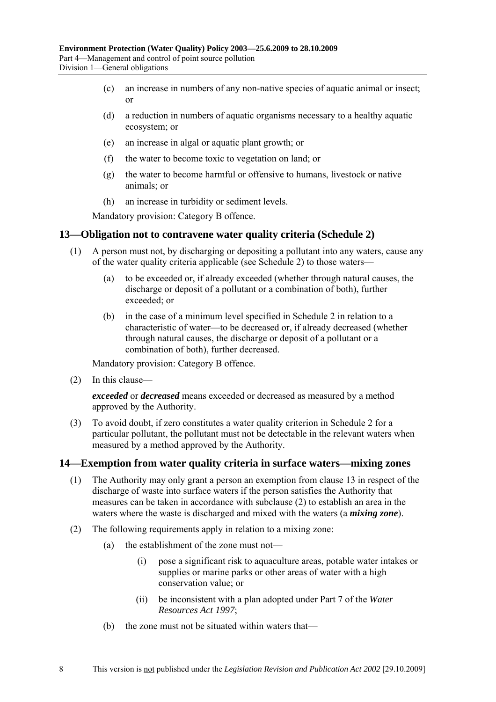- (c) an increase in numbers of any non-native species of aquatic animal or insect; or
- (d) a reduction in numbers of aquatic organisms necessary to a healthy aquatic ecosystem; or
- (e) an increase in algal or aquatic plant growth; or
- (f) the water to become toxic to vegetation on land; or
- (g) the water to become harmful or offensive to humans, livestock or native animals; or
- (h) an increase in turbidity or sediment levels.

Mandatory provision: Category B offence.

#### **13—Obligation not to contravene water quality criteria (Schedule 2)**

- (1) A person must not, by discharging or depositing a pollutant into any waters, cause any of the water quality criteria applicable (see Schedule 2) to those waters—
	- (a) to be exceeded or, if already exceeded (whether through natural causes, the discharge or deposit of a pollutant or a combination of both), further exceeded; or
	- (b) in the case of a minimum level specified in Schedule 2 in relation to a characteristic of water—to be decreased or, if already decreased (whether through natural causes, the discharge or deposit of a pollutant or a combination of both), further decreased.

Mandatory provision: Category B offence.

 $(2)$  In this clause—

*exceeded* or *decreased* means exceeded or decreased as measured by a method approved by the Authority.

 (3) To avoid doubt, if zero constitutes a water quality criterion in Schedule 2 for a particular pollutant, the pollutant must not be detectable in the relevant waters when measured by a method approved by the Authority.

#### **14—Exemption from water quality criteria in surface waters—mixing zones**

- (1) The Authority may only grant a person an exemption from clause 13 in respect of the discharge of waste into surface waters if the person satisfies the Authority that measures can be taken in accordance with subclause (2) to establish an area in the waters where the waste is discharged and mixed with the waters (a *mixing zone*).
- (2) The following requirements apply in relation to a mixing zone:
	- (a) the establishment of the zone must not—
		- (i) pose a significant risk to aquaculture areas, potable water intakes or supplies or marine parks or other areas of water with a high conservation value; or
		- (ii) be inconsistent with a plan adopted under Part 7 of the *Water Resources Act 1997*;
	- (b) the zone must not be situated within waters that—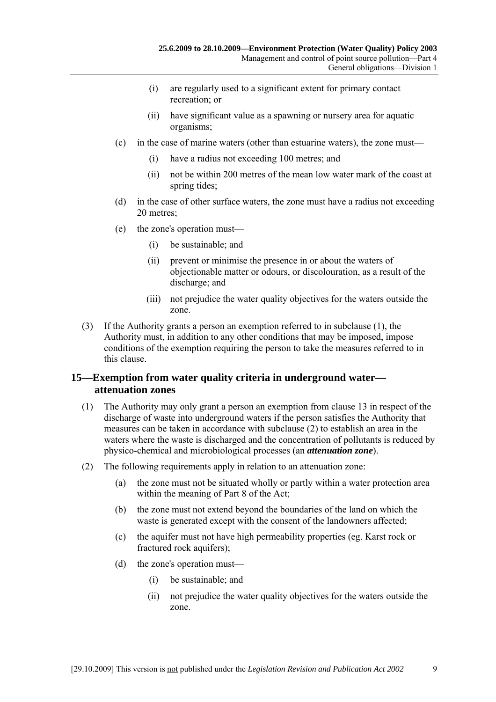- (i) are regularly used to a significant extent for primary contact recreation; or
- (ii) have significant value as a spawning or nursery area for aquatic organisms;
- $(c)$  in the case of marine waters (other than estuarine waters), the zone must—
	- (i) have a radius not exceeding 100 metres; and
	- (ii) not be within 200 metres of the mean low water mark of the coast at spring tides;
- (d) in the case of other surface waters, the zone must have a radius not exceeding 20 metres;
- $(e)$  the zone's operation must—
	- (i) be sustainable; and
	- (ii) prevent or minimise the presence in or about the waters of objectionable matter or odours, or discolouration, as a result of the discharge; and
	- (iii) not prejudice the water quality objectives for the waters outside the zone.
- (3) If the Authority grants a person an exemption referred to in subclause (1), the Authority must, in addition to any other conditions that may be imposed, impose conditions of the exemption requiring the person to take the measures referred to in this clause.

#### **15—Exemption from water quality criteria in underground water attenuation zones**

- (1) The Authority may only grant a person an exemption from clause 13 in respect of the discharge of waste into underground waters if the person satisfies the Authority that measures can be taken in accordance with subclause (2) to establish an area in the waters where the waste is discharged and the concentration of pollutants is reduced by physico-chemical and microbiological processes (an *attenuation zone*).
- (2) The following requirements apply in relation to an attenuation zone:
	- (a) the zone must not be situated wholly or partly within a water protection area within the meaning of Part 8 of the Act;
	- (b) the zone must not extend beyond the boundaries of the land on which the waste is generated except with the consent of the landowners affected;
	- (c) the aquifer must not have high permeability properties (eg. Karst rock or fractured rock aquifers);
	- (d) the zone's operation must—
		- (i) be sustainable; and
		- (ii) not prejudice the water quality objectives for the waters outside the zone.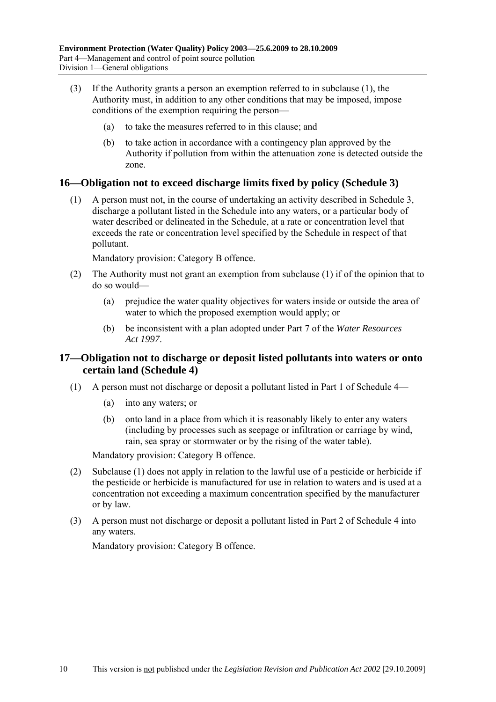- (3) If the Authority grants a person an exemption referred to in subclause (1), the Authority must, in addition to any other conditions that may be imposed, impose conditions of the exemption requiring the person–
	- (a) to take the measures referred to in this clause; and
	- (b) to take action in accordance with a contingency plan approved by the Authority if pollution from within the attenuation zone is detected outside the zone.

#### **16—Obligation not to exceed discharge limits fixed by policy (Schedule 3)**

 (1) A person must not, in the course of undertaking an activity described in Schedule 3, discharge a pollutant listed in the Schedule into any waters, or a particular body of water described or delineated in the Schedule, at a rate or concentration level that exceeds the rate or concentration level specified by the Schedule in respect of that pollutant.

Mandatory provision: Category B offence.

- (2) The Authority must not grant an exemption from subclause (1) if of the opinion that to do so would—
	- (a) prejudice the water quality objectives for waters inside or outside the area of water to which the proposed exemption would apply; or
	- (b) be inconsistent with a plan adopted under Part 7 of the *Water Resources Act 1997*.

#### **17—Obligation not to discharge or deposit listed pollutants into waters or onto certain land (Schedule 4)**

- (1) A person must not discharge or deposit a pollutant listed in Part 1 of Schedule  $4$ 
	- (a) into any waters; or
	- (b) onto land in a place from which it is reasonably likely to enter any waters (including by processes such as seepage or infiltration or carriage by wind, rain, sea spray or stormwater or by the rising of the water table).

Mandatory provision: Category B offence.

- (2) Subclause (1) does not apply in relation to the lawful use of a pesticide or herbicide if the pesticide or herbicide is manufactured for use in relation to waters and is used at a concentration not exceeding a maximum concentration specified by the manufacturer or by law.
- (3) A person must not discharge or deposit a pollutant listed in Part 2 of Schedule 4 into any waters.

Mandatory provision: Category B offence.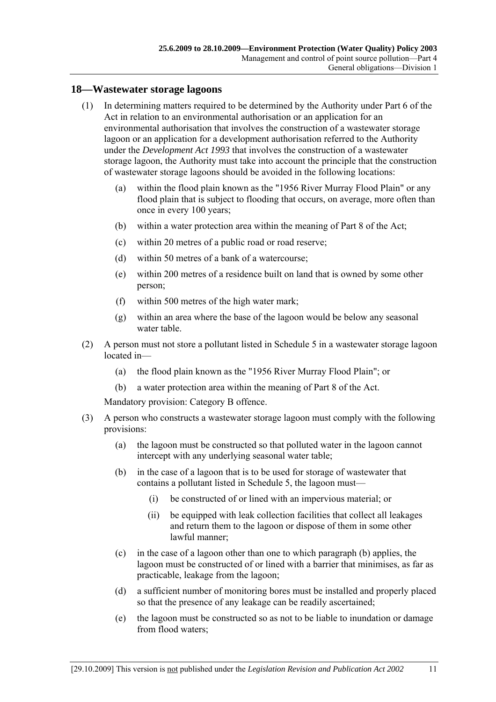#### **18—Wastewater storage lagoons**

- (1) In determining matters required to be determined by the Authority under Part 6 of the Act in relation to an environmental authorisation or an application for an environmental authorisation that involves the construction of a wastewater storage lagoon or an application for a development authorisation referred to the Authority under the *Development Act 1993* that involves the construction of a wastewater storage lagoon, the Authority must take into account the principle that the construction of wastewater storage lagoons should be avoided in the following locations:
	- (a) within the flood plain known as the "1956 River Murray Flood Plain" or any flood plain that is subject to flooding that occurs, on average, more often than once in every 100 years;
	- (b) within a water protection area within the meaning of Part 8 of the Act;
	- (c) within 20 metres of a public road or road reserve;
	- (d) within 50 metres of a bank of a watercourse;
	- (e) within 200 metres of a residence built on land that is owned by some other person;
	- (f) within 500 metres of the high water mark;
	- (g) within an area where the base of the lagoon would be below any seasonal water table.
- (2) A person must not store a pollutant listed in Schedule 5 in a wastewater storage lagoon located in-
	- (a) the flood plain known as the "1956 River Murray Flood Plain"; or
	- (b) a water protection area within the meaning of Part 8 of the Act.

Mandatory provision: Category B offence.

- (3) A person who constructs a wastewater storage lagoon must comply with the following provisions:
	- (a) the lagoon must be constructed so that polluted water in the lagoon cannot intercept with any underlying seasonal water table;
	- (b) in the case of a lagoon that is to be used for storage of wastewater that contains a pollutant listed in Schedule 5, the lagoon must—
		- (i) be constructed of or lined with an impervious material; or
		- (ii) be equipped with leak collection facilities that collect all leakages and return them to the lagoon or dispose of them in some other lawful manner;
	- (c) in the case of a lagoon other than one to which paragraph (b) applies, the lagoon must be constructed of or lined with a barrier that minimises, as far as practicable, leakage from the lagoon;
	- (d) a sufficient number of monitoring bores must be installed and properly placed so that the presence of any leakage can be readily ascertained;
	- (e) the lagoon must be constructed so as not to be liable to inundation or damage from flood waters;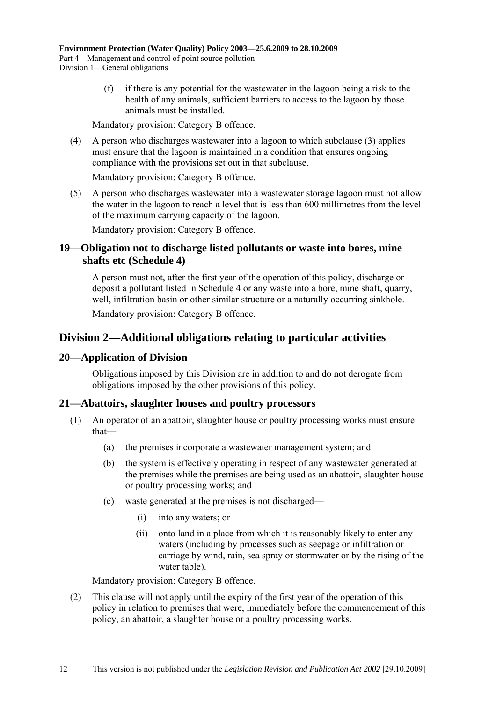(f) if there is any potential for the wastewater in the lagoon being a risk to the health of any animals, sufficient barriers to access to the lagoon by those animals must be installed.

Mandatory provision: Category B offence.

 (4) A person who discharges wastewater into a lagoon to which subclause (3) applies must ensure that the lagoon is maintained in a condition that ensures ongoing compliance with the provisions set out in that subclause.

Mandatory provision: Category B offence.

 (5) A person who discharges wastewater into a wastewater storage lagoon must not allow the water in the lagoon to reach a level that is less than 600 millimetres from the level of the maximum carrying capacity of the lagoon.

Mandatory provision: Category B offence.

#### **19—Obligation not to discharge listed pollutants or waste into bores, mine shafts etc (Schedule 4)**

A person must not, after the first year of the operation of this policy, discharge or deposit a pollutant listed in Schedule 4 or any waste into a bore, mine shaft, quarry, well, infiltration basin or other similar structure or a naturally occurring sinkhole.

Mandatory provision: Category B offence.

## **Division 2—Additional obligations relating to particular activities**

#### **20—Application of Division**

Obligations imposed by this Division are in addition to and do not derogate from obligations imposed by the other provisions of this policy.

#### **21—Abattoirs, slaughter houses and poultry processors**

- (1) An operator of an abattoir, slaughter house or poultry processing works must ensure that-
	- (a) the premises incorporate a wastewater management system; and
	- (b) the system is effectively operating in respect of any wastewater generated at the premises while the premises are being used as an abattoir, slaughter house or poultry processing works; and
	- $(c)$  waste generated at the premises is not discharged—
		- (i) into any waters; or
		- (ii) onto land in a place from which it is reasonably likely to enter any waters (including by processes such as seepage or infiltration or carriage by wind, rain, sea spray or stormwater or by the rising of the water table).

Mandatory provision: Category B offence.

 (2) This clause will not apply until the expiry of the first year of the operation of this policy in relation to premises that were, immediately before the commencement of this policy, an abattoir, a slaughter house or a poultry processing works.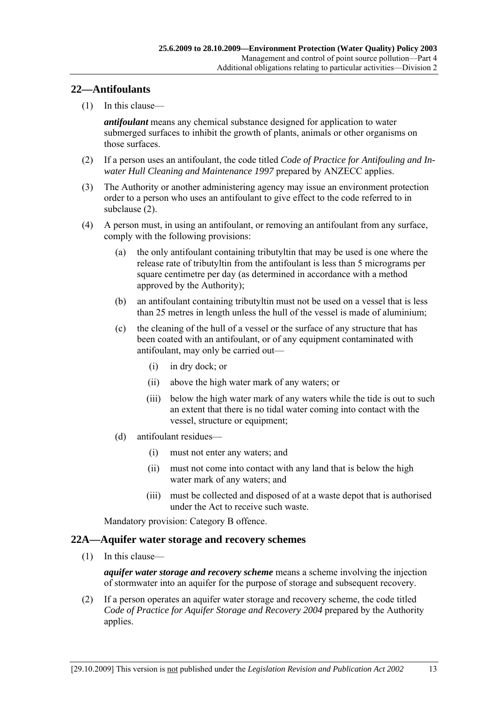#### **22—Antifoulants**

 $(1)$  In this clause—

*antifoulant* means any chemical substance designed for application to water submerged surfaces to inhibit the growth of plants, animals or other organisms on those surfaces.

- (2) If a person uses an antifoulant, the code titled *Code of Practice for Antifouling and Inwater Hull Cleaning and Maintenance 1997* prepared by ANZECC applies.
- (3) The Authority or another administering agency may issue an environment protection order to a person who uses an antifoulant to give effect to the code referred to in subclause (2).
- (4) A person must, in using an antifoulant, or removing an antifoulant from any surface, comply with the following provisions:
	- (a) the only antifoulant containing tributyltin that may be used is one where the release rate of tributyltin from the antifoulant is less than 5 micrograms per square centimetre per day (as determined in accordance with a method approved by the Authority);
	- (b) an antifoulant containing tributyltin must not be used on a vessel that is less than 25 metres in length unless the hull of the vessel is made of aluminium;
	- (c) the cleaning of the hull of a vessel or the surface of any structure that has been coated with an antifoulant, or of any equipment contaminated with antifoulant, may only be carried out—
		- (i) in dry dock; or
		- (ii) above the high water mark of any waters; or
		- (iii) below the high water mark of any waters while the tide is out to such an extent that there is no tidal water coming into contact with the vessel, structure or equipment;
	- $(d)$  antifoulant residues
		- (i) must not enter any waters; and
		- (ii) must not come into contact with any land that is below the high water mark of any waters; and
		- (iii) must be collected and disposed of at a waste depot that is authorised under the Act to receive such waste.

Mandatory provision: Category B offence.

#### **22A—Aquifer water storage and recovery schemes**

 $(1)$  In this clause—

*aquifer water storage and recovery scheme* means a scheme involving the injection of stormwater into an aquifer for the purpose of storage and subsequent recovery.

 (2) If a person operates an aquifer water storage and recovery scheme, the code titled *Code of Practice for Aquifer Storage and Recovery 2004* prepared by the Authority applies.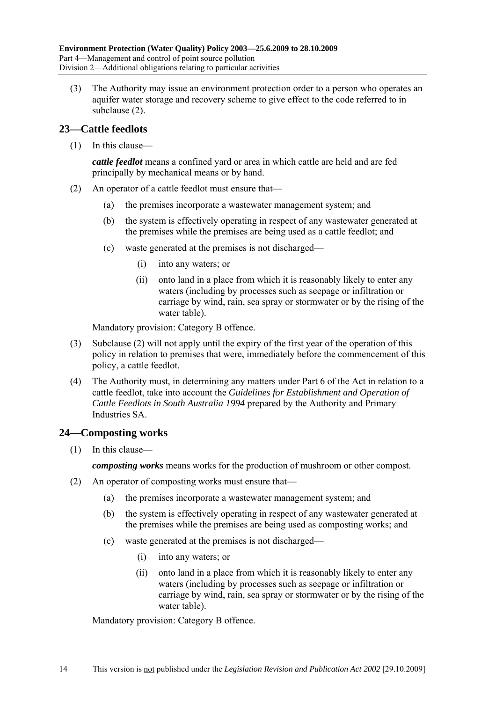(3) The Authority may issue an environment protection order to a person who operates an aquifer water storage and recovery scheme to give effect to the code referred to in subclause (2).

#### **23—Cattle feedlots**

 $(1)$  In this clause—

*cattle feedlot* means a confined yard or area in which cattle are held and are fed principally by mechanical means or by hand.

- (2) An operator of a cattle feedlot must ensure that—
	- (a) the premises incorporate a wastewater management system; and
	- (b) the system is effectively operating in respect of any wastewater generated at the premises while the premises are being used as a cattle feedlot; and
	- $(c)$  waste generated at the premises is not discharged—
		- (i) into any waters; or
		- (ii) onto land in a place from which it is reasonably likely to enter any waters (including by processes such as seepage or infiltration or carriage by wind, rain, sea spray or stormwater or by the rising of the water table).

Mandatory provision: Category B offence.

- (3) Subclause (2) will not apply until the expiry of the first year of the operation of this policy in relation to premises that were, immediately before the commencement of this policy, a cattle feedlot.
- (4) The Authority must, in determining any matters under Part 6 of the Act in relation to a cattle feedlot, take into account the *Guidelines for Establishment and Operation of Cattle Feedlots in South Australia 1994* prepared by the Authority and Primary Industries SA.

### **24—Composting works**

 $(1)$  In this clause—

*composting works* means works for the production of mushroom or other compost.

- (2) An operator of composting works must ensure that—
	- (a) the premises incorporate a wastewater management system; and
	- (b) the system is effectively operating in respect of any wastewater generated at the premises while the premises are being used as composting works; and
	- $(c)$  waste generated at the premises is not discharged—
		- (i) into any waters; or
		- (ii) onto land in a place from which it is reasonably likely to enter any waters (including by processes such as seepage or infiltration or carriage by wind, rain, sea spray or stormwater or by the rising of the water table).

Mandatory provision: Category B offence.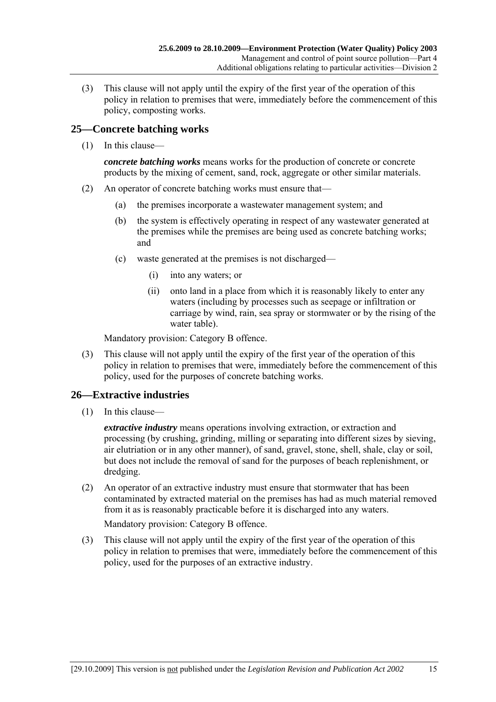(3) This clause will not apply until the expiry of the first year of the operation of this policy in relation to premises that were, immediately before the commencement of this policy, composting works.

#### **25—Concrete batching works**

 $(1)$  In this clause—

*concrete batching works* means works for the production of concrete or concrete products by the mixing of cement, sand, rock, aggregate or other similar materials.

- (2) An operator of concrete batching works must ensure that—
	- (a) the premises incorporate a wastewater management system; and
	- (b) the system is effectively operating in respect of any wastewater generated at the premises while the premises are being used as concrete batching works; and
	- $(c)$  waste generated at the premises is not discharged—
		- (i) into any waters; or
		- (ii) onto land in a place from which it is reasonably likely to enter any waters (including by processes such as seepage or infiltration or carriage by wind, rain, sea spray or stormwater or by the rising of the water table).

Mandatory provision: Category B offence.

 (3) This clause will not apply until the expiry of the first year of the operation of this policy in relation to premises that were, immediately before the commencement of this policy, used for the purposes of concrete batching works.

### **26—Extractive industries**

 $(1)$  In this clause—

*extractive industry* means operations involving extraction, or extraction and processing (by crushing, grinding, milling or separating into different sizes by sieving, air elutriation or in any other manner), of sand, gravel, stone, shell, shale, clay or soil, but does not include the removal of sand for the purposes of beach replenishment, or dredging.

 (2) An operator of an extractive industry must ensure that stormwater that has been contaminated by extracted material on the premises has had as much material removed from it as is reasonably practicable before it is discharged into any waters.

Mandatory provision: Category B offence.

 (3) This clause will not apply until the expiry of the first year of the operation of this policy in relation to premises that were, immediately before the commencement of this policy, used for the purposes of an extractive industry.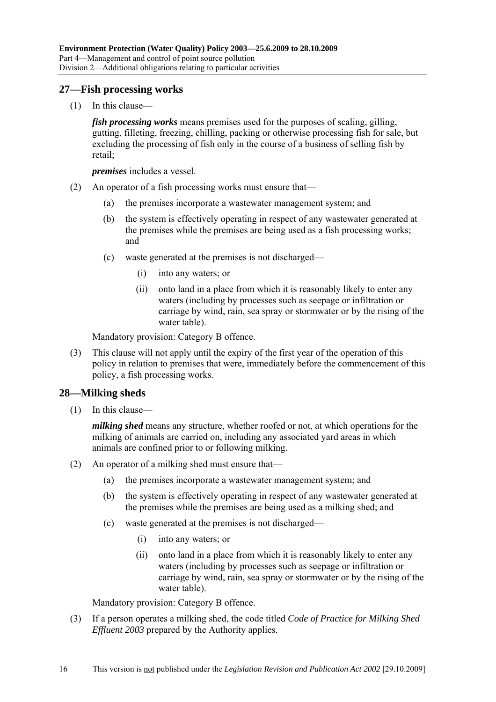#### **27—Fish processing works**

 $(1)$  In this clause—

*fish processing works* means premises used for the purposes of scaling, gilling, gutting, filleting, freezing, chilling, packing or otherwise processing fish for sale, but excluding the processing of fish only in the course of a business of selling fish by retail;

*premises* includes a vessel.

- (2) An operator of a fish processing works must ensure that—
	- (a) the premises incorporate a wastewater management system; and
	- (b) the system is effectively operating in respect of any wastewater generated at the premises while the premises are being used as a fish processing works; and
	- $(c)$  waste generated at the premises is not discharged—
		- (i) into any waters; or
		- (ii) onto land in a place from which it is reasonably likely to enter any waters (including by processes such as seepage or infiltration or carriage by wind, rain, sea spray or stormwater or by the rising of the water table).

Mandatory provision: Category B offence.

 (3) This clause will not apply until the expiry of the first year of the operation of this policy in relation to premises that were, immediately before the commencement of this policy, a fish processing works.

#### **28—Milking sheds**

 $(1)$  In this clause—

*milking shed* means any structure, whether roofed or not, at which operations for the milking of animals are carried on, including any associated yard areas in which animals are confined prior to or following milking.

- (2) An operator of a milking shed must ensure that—
	- (a) the premises incorporate a wastewater management system; and
	- (b) the system is effectively operating in respect of any wastewater generated at the premises while the premises are being used as a milking shed; and
	- $(c)$  waste generated at the premises is not discharged—
		- (i) into any waters; or
		- (ii) onto land in a place from which it is reasonably likely to enter any waters (including by processes such as seepage or infiltration or carriage by wind, rain, sea spray or stormwater or by the rising of the water table).

Mandatory provision: Category B offence.

 (3) If a person operates a milking shed, the code titled *Code of Practice for Milking Shed Effluent 2003* prepared by the Authority applies.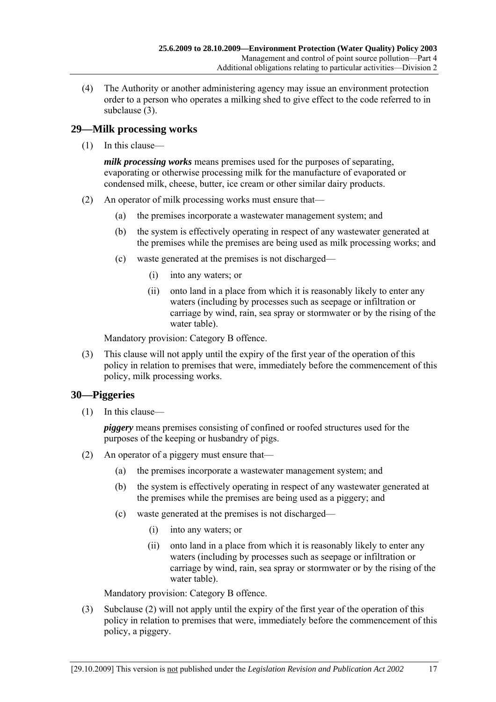(4) The Authority or another administering agency may issue an environment protection order to a person who operates a milking shed to give effect to the code referred to in subclause (3).

#### **29—Milk processing works**

 $(1)$  In this clause—

*milk processing works* means premises used for the purposes of separating, evaporating or otherwise processing milk for the manufacture of evaporated or condensed milk, cheese, butter, ice cream or other similar dairy products.

- (2) An operator of milk processing works must ensure that—
	- (a) the premises incorporate a wastewater management system; and
	- (b) the system is effectively operating in respect of any wastewater generated at the premises while the premises are being used as milk processing works; and
	- $(c)$  waste generated at the premises is not discharged—
		- (i) into any waters; or
		- (ii) onto land in a place from which it is reasonably likely to enter any waters (including by processes such as seepage or infiltration or carriage by wind, rain, sea spray or stormwater or by the rising of the water table).

Mandatory provision: Category B offence.

 (3) This clause will not apply until the expiry of the first year of the operation of this policy in relation to premises that were, immediately before the commencement of this policy, milk processing works.

### **30—Piggeries**

 $(1)$  In this clause—

*piggery* means premises consisting of confined or roofed structures used for the purposes of the keeping or husbandry of pigs.

- (2) An operator of a piggery must ensure that—
	- (a) the premises incorporate a wastewater management system; and
	- (b) the system is effectively operating in respect of any wastewater generated at the premises while the premises are being used as a piggery; and
	- $(c)$  waste generated at the premises is not discharged—
		- (i) into any waters; or
		- (ii) onto land in a place from which it is reasonably likely to enter any waters (including by processes such as seepage or infiltration or carriage by wind, rain, sea spray or stormwater or by the rising of the water table).

Mandatory provision: Category B offence.

 (3) Subclause (2) will not apply until the expiry of the first year of the operation of this policy in relation to premises that were, immediately before the commencement of this policy, a piggery.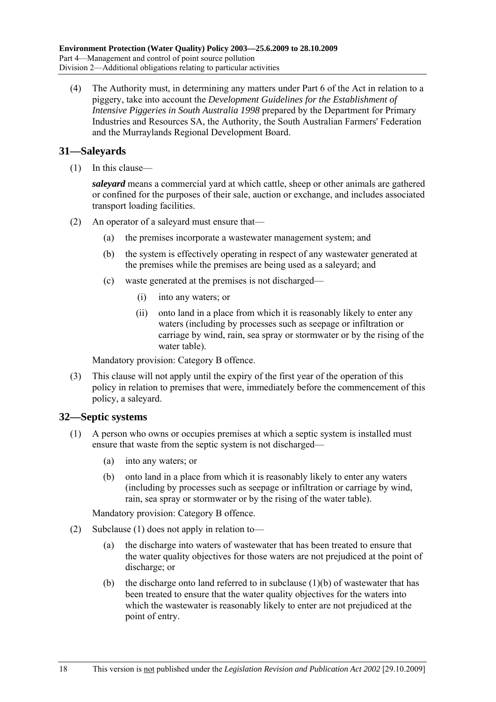(4) The Authority must, in determining any matters under Part 6 of the Act in relation to a piggery, take into account the *Development Guidelines for the Establishment of Intensive Piggeries in South Australia 1998* prepared by the Department for Primary Industries and Resources SA, the Authority, the South Australian Farmers' Federation and the Murraylands Regional Development Board.

#### **31—Saleyards**

 $(1)$  In this clause—

*saleyard* means a commercial yard at which cattle, sheep or other animals are gathered or confined for the purposes of their sale, auction or exchange, and includes associated transport loading facilities.

- (2) An operator of a saleyard must ensure that—
	- (a) the premises incorporate a wastewater management system; and
	- (b) the system is effectively operating in respect of any wastewater generated at the premises while the premises are being used as a saleyard; and
	- $(c)$  waste generated at the premises is not discharged—
		- (i) into any waters; or
		- (ii) onto land in a place from which it is reasonably likely to enter any waters (including by processes such as seepage or infiltration or carriage by wind, rain, sea spray or stormwater or by the rising of the water table).

Mandatory provision: Category B offence.

 (3) This clause will not apply until the expiry of the first year of the operation of this policy in relation to premises that were, immediately before the commencement of this policy, a saleyard.

#### **32—Septic systems**

- (1) A person who owns or occupies premises at which a septic system is installed must ensure that waste from the septic system is not discharged—
	- (a) into any waters; or
	- (b) onto land in a place from which it is reasonably likely to enter any waters (including by processes such as seepage or infiltration or carriage by wind, rain, sea spray or stormwater or by the rising of the water table).

Mandatory provision: Category B offence.

- (2) Subclause (1) does not apply in relation to—
	- (a) the discharge into waters of wastewater that has been treated to ensure that the water quality objectives for those waters are not prejudiced at the point of discharge; or
	- (b) the discharge onto land referred to in subclause  $(1)(b)$  of wastewater that has been treated to ensure that the water quality objectives for the waters into which the wastewater is reasonably likely to enter are not prejudiced at the point of entry.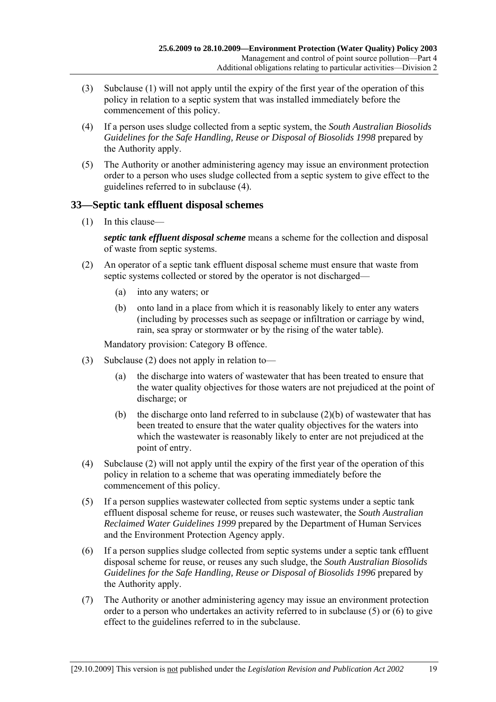- (3) Subclause (1) will not apply until the expiry of the first year of the operation of this policy in relation to a septic system that was installed immediately before the commencement of this policy.
- (4) If a person uses sludge collected from a septic system, the *South Australian Biosolids Guidelines for the Safe Handling, Reuse or Disposal of Biosolids 1998* prepared by the Authority apply.
- (5) The Authority or another administering agency may issue an environment protection order to a person who uses sludge collected from a septic system to give effect to the guidelines referred to in subclause (4).

#### **33—Septic tank effluent disposal schemes**

 $(1)$  In this clause—

*septic tank effluent disposal scheme* means a scheme for the collection and disposal of waste from septic systems.

- (2) An operator of a septic tank effluent disposal scheme must ensure that waste from septic systems collected or stored by the operator is not discharged—
	- (a) into any waters; or
	- (b) onto land in a place from which it is reasonably likely to enter any waters (including by processes such as seepage or infiltration or carriage by wind, rain, sea spray or stormwater or by the rising of the water table).

Mandatory provision: Category B offence.

- (3) Subclause (2) does not apply in relation to—
	- (a) the discharge into waters of wastewater that has been treated to ensure that the water quality objectives for those waters are not prejudiced at the point of discharge; or
	- (b) the discharge onto land referred to in subclause  $(2)(b)$  of wastewater that has been treated to ensure that the water quality objectives for the waters into which the wastewater is reasonably likely to enter are not prejudiced at the point of entry.
- (4) Subclause (2) will not apply until the expiry of the first year of the operation of this policy in relation to a scheme that was operating immediately before the commencement of this policy.
- (5) If a person supplies wastewater collected from septic systems under a septic tank effluent disposal scheme for reuse, or reuses such wastewater, the *South Australian Reclaimed Water Guidelines 1999* prepared by the Department of Human Services and the Environment Protection Agency apply.
- (6) If a person supplies sludge collected from septic systems under a septic tank effluent disposal scheme for reuse, or reuses any such sludge, the *South Australian Biosolids Guidelines for the Safe Handling, Reuse or Disposal of Biosolids 1996* prepared by the Authority apply.
- (7) The Authority or another administering agency may issue an environment protection order to a person who undertakes an activity referred to in subclause (5) or (6) to give effect to the guidelines referred to in the subclause.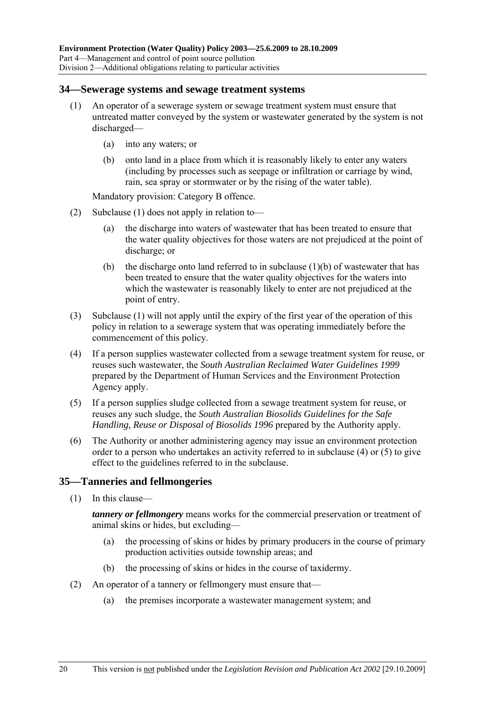#### **34—Sewerage systems and sewage treatment systems**

- (1) An operator of a sewerage system or sewage treatment system must ensure that untreated matter conveyed by the system or wastewater generated by the system is not discharged—
	- (a) into any waters; or
	- (b) onto land in a place from which it is reasonably likely to enter any waters (including by processes such as seepage or infiltration or carriage by wind, rain, sea spray or stormwater or by the rising of the water table).

Mandatory provision: Category B offence.

- (2) Subclause (1) does not apply in relation to—
	- (a) the discharge into waters of wastewater that has been treated to ensure that the water quality objectives for those waters are not prejudiced at the point of discharge; or
	- (b) the discharge onto land referred to in subclause  $(1)(b)$  of wastewater that has been treated to ensure that the water quality objectives for the waters into which the wastewater is reasonably likely to enter are not prejudiced at the point of entry.
- (3) Subclause (1) will not apply until the expiry of the first year of the operation of this policy in relation to a sewerage system that was operating immediately before the commencement of this policy.
- (4) If a person supplies wastewater collected from a sewage treatment system for reuse, or reuses such wastewater, the *South Australian Reclaimed Water Guidelines 1999* prepared by the Department of Human Services and the Environment Protection Agency apply.
- (5) If a person supplies sludge collected from a sewage treatment system for reuse, or reuses any such sludge, the *South Australian Biosolids Guidelines for the Safe Handling, Reuse or Disposal of Biosolids 1996* prepared by the Authority apply.
- (6) The Authority or another administering agency may issue an environment protection order to a person who undertakes an activity referred to in subclause (4) or (5) to give effect to the guidelines referred to in the subclause.

#### **35—Tanneries and fellmongeries**

 $(1)$  In this clause—

*tannery or fellmongery* means works for the commercial preservation or treatment of animal skins or hides, but excluding-

- (a) the processing of skins or hides by primary producers in the course of primary production activities outside township areas; and
- (b) the processing of skins or hides in the course of taxidermy.
- (2) An operator of a tannery or fellmongery must ensure that—
	- (a) the premises incorporate a wastewater management system; and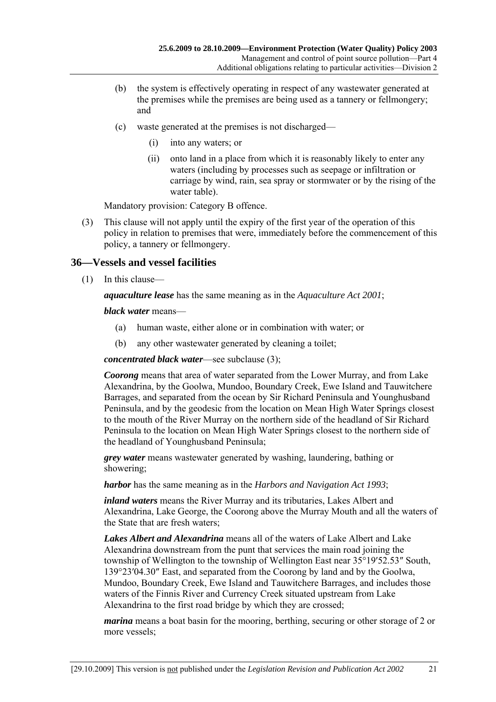- (b) the system is effectively operating in respect of any wastewater generated at the premises while the premises are being used as a tannery or fellmongery; and
- $(c)$  waste generated at the premises is not discharged—
	- (i) into any waters; or
	- (ii) onto land in a place from which it is reasonably likely to enter any waters (including by processes such as seepage or infiltration or carriage by wind, rain, sea spray or stormwater or by the rising of the water table).

Mandatory provision: Category B offence.

 (3) This clause will not apply until the expiry of the first year of the operation of this policy in relation to premises that were, immediately before the commencement of this policy, a tannery or fellmongery.

#### **36—Vessels and vessel facilities**

 $(1)$  In this clause—

*aquaculture lease* has the same meaning as in the *Aquaculture Act 2001*;

*black water* means—

- (a) human waste, either alone or in combination with water; or
- (b) any other wastewater generated by cleaning a toilet;

*concentrated black water*—see subclause (3);

*Coorong* means that area of water separated from the Lower Murray, and from Lake Alexandrina, by the Goolwa, Mundoo, Boundary Creek, Ewe Island and Tauwitchere Barrages, and separated from the ocean by Sir Richard Peninsula and Younghusband Peninsula, and by the geodesic from the location on Mean High Water Springs closest to the mouth of the River Murray on the northern side of the headland of Sir Richard Peninsula to the location on Mean High Water Springs closest to the northern side of the headland of Younghusband Peninsula;

*grey water* means wastewater generated by washing, laundering, bathing or showering;

*harbor* has the same meaning as in the *Harbors and Navigation Act 1993*;

*inland waters* means the River Murray and its tributaries, Lakes Albert and Alexandrina, Lake George, the Coorong above the Murray Mouth and all the waters of the State that are fresh waters;

*Lakes Albert and Alexandrina* means all of the waters of Lake Albert and Lake Alexandrina downstream from the punt that services the main road joining the township of Wellington to the township of Wellington East near 35°19′52.53″ South, 139°23′04.30″ East, and separated from the Coorong by land and by the Goolwa, Mundoo, Boundary Creek, Ewe Island and Tauwitchere Barrages, and includes those waters of the Finnis River and Currency Creek situated upstream from Lake Alexandrina to the first road bridge by which they are crossed;

*marina* means a boat basin for the mooring, berthing, securing or other storage of 2 or more vessels;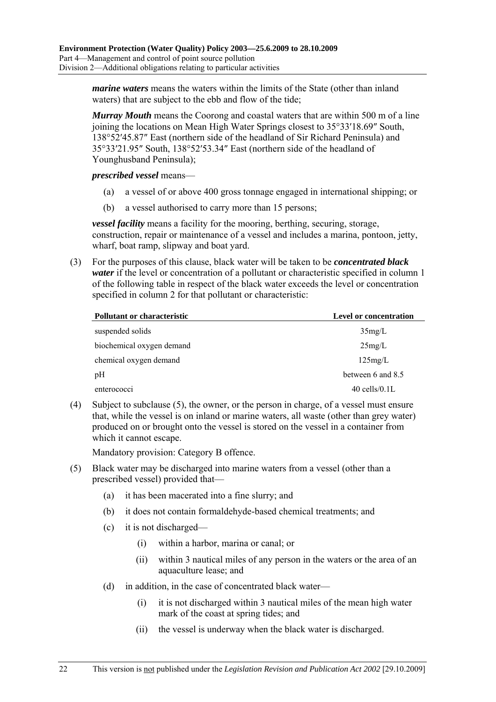*marine waters* means the waters within the limits of the State (other than inland waters) that are subject to the ebb and flow of the tide;

*Murray Mouth* means the Coorong and coastal waters that are within 500 m of a line joining the locations on Mean High Water Springs closest to 35°33′18.69″ South, 138°52′45.87″ East (northern side of the headland of Sir Richard Peninsula) and 35°33′21.95″ South, 138°52′53.34″ East (northern side of the headland of Younghusband Peninsula);

*prescribed vessel* means—

- (a) a vessel of or above 400 gross tonnage engaged in international shipping; or
- (b) a vessel authorised to carry more than 15 persons;

*vessel facility* means a facility for the mooring, berthing, securing, storage, construction, repair or maintenance of a vessel and includes a marina, pontoon, jetty, wharf, boat ramp, slipway and boat yard.

 (3) For the purposes of this clause, black water will be taken to be *concentrated black water* if the level or concentration of a pollutant or characteristic specified in column 1 of the following table in respect of the black water exceeds the level or concentration specified in column 2 for that pollutant or characteristic:

| Pollutant or characteristic | <b>Level or concentration</b> |
|-----------------------------|-------------------------------|
| suspended solids            | 35mg/L                        |
| biochemical oxygen demand   | 25mg/L                        |
| chemical oxygen demand      | 125mg/L                       |
| pH                          | between 6 and 8.5             |
| enterococci                 | $40$ cells/ $0.1$ L           |

 (4) Subject to subclause (5), the owner, or the person in charge, of a vessel must ensure that, while the vessel is on inland or marine waters, all waste (other than grey water) produced on or brought onto the vessel is stored on the vessel in a container from which it cannot escape.

Mandatory provision: Category B offence.

- (5) Black water may be discharged into marine waters from a vessel (other than a prescribed vessel) provided that—
	- (a) it has been macerated into a fine slurry; and
	- (b) it does not contain formaldehyde-based chemical treatments; and
	- $(c)$  it is not discharged—
		- (i) within a harbor, marina or canal; or
		- (ii) within 3 nautical miles of any person in the waters or the area of an aquaculture lease; and
	- (d) in addition, in the case of concentrated black water—
		- (i) it is not discharged within 3 nautical miles of the mean high water mark of the coast at spring tides; and
		- (ii) the vessel is underway when the black water is discharged.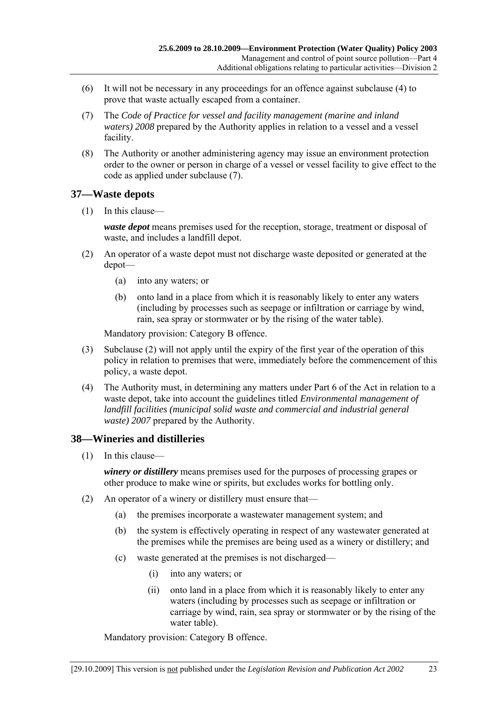- (6) It will not be necessary in any proceedings for an offence against subclause (4) to prove that waste actually escaped from a container.
- (7) The *Code of Practice for vessel and facility management (marine and inland waters)* 2008 prepared by the Authority applies in relation to a vessel and a vessel facility.
- (8) The Authority or another administering agency may issue an environment protection order to the owner or person in charge of a vessel or vessel facility to give effect to the code as applied under subclause (7).

#### **37—Waste depots**

 $(1)$  In this clause—

*waste depot* means premises used for the reception, storage, treatment or disposal of waste, and includes a landfill depot.

- (2) An operator of a waste depot must not discharge waste deposited or generated at the depot-
	- (a) into any waters; or
	- (b) onto land in a place from which it is reasonably likely to enter any waters (including by processes such as seepage or infiltration or carriage by wind, rain, sea spray or stormwater or by the rising of the water table).

Mandatory provision: Category B offence.

- (3) Subclause (2) will not apply until the expiry of the first year of the operation of this policy in relation to premises that were, immediately before the commencement of this policy, a waste depot.
- (4) The Authority must, in determining any matters under Part 6 of the Act in relation to a waste depot, take into account the guidelines titled *Environmental management of landfill facilities (municipal solid waste and commercial and industrial general waste) 2007* prepared by the Authority.

#### **38—Wineries and distilleries**

 $(1)$  In this clause—

*winery or distillery* means premises used for the purposes of processing grapes or other produce to make wine or spirits, but excludes works for bottling only.

- (2) An operator of a winery or distillery must ensure that—
	- (a) the premises incorporate a wastewater management system; and
	- (b) the system is effectively operating in respect of any wastewater generated at the premises while the premises are being used as a winery or distillery; and
	- $(c)$  waste generated at the premises is not discharged—
		- (i) into any waters; or
		- (ii) onto land in a place from which it is reasonably likely to enter any waters (including by processes such as seepage or infiltration or carriage by wind, rain, sea spray or stormwater or by the rising of the water table).

Mandatory provision: Category B offence.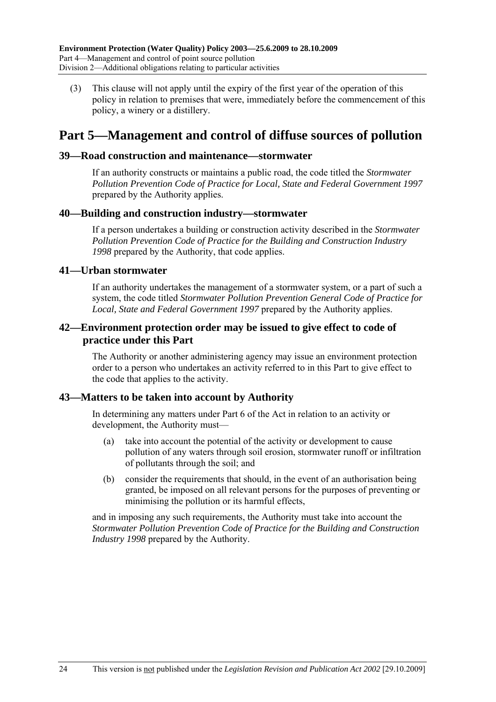(3) This clause will not apply until the expiry of the first year of the operation of this policy in relation to premises that were, immediately before the commencement of this policy, a winery or a distillery.

## **Part 5—Management and control of diffuse sources of pollution**

#### **39—Road construction and maintenance—stormwater**

If an authority constructs or maintains a public road, the code titled the *Stormwater Pollution Prevention Code of Practice for Local, State and Federal Government 1997* prepared by the Authority applies.

#### **40—Building and construction industry—stormwater**

If a person undertakes a building or construction activity described in the *Stormwater Pollution Prevention Code of Practice for the Building and Construction Industry 1998* prepared by the Authority, that code applies.

#### **41—Urban stormwater**

If an authority undertakes the management of a stormwater system, or a part of such a system, the code titled *Stormwater Pollution Prevention General Code of Practice for Local, State and Federal Government 1997* prepared by the Authority applies.

#### **42—Environment protection order may be issued to give effect to code of practice under this Part**

The Authority or another administering agency may issue an environment protection order to a person who undertakes an activity referred to in this Part to give effect to the code that applies to the activity.

#### **43—Matters to be taken into account by Authority**

In determining any matters under Part 6 of the Act in relation to an activity or development, the Authority must—

- (a) take into account the potential of the activity or development to cause pollution of any waters through soil erosion, stormwater runoff or infiltration of pollutants through the soil; and
- (b) consider the requirements that should, in the event of an authorisation being granted, be imposed on all relevant persons for the purposes of preventing or minimising the pollution or its harmful effects,

and in imposing any such requirements, the Authority must take into account the *Stormwater Pollution Prevention Code of Practice for the Building and Construction Industry 1998* prepared by the Authority.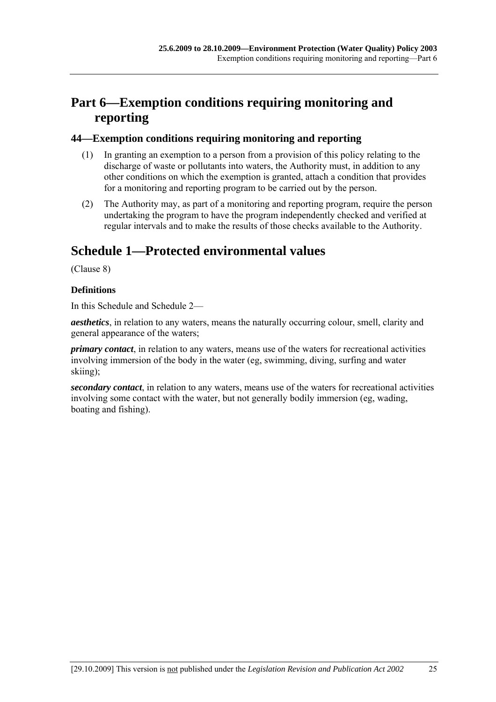# **Part 6—Exemption conditions requiring monitoring and reporting**

#### **44—Exemption conditions requiring monitoring and reporting**

- (1) In granting an exemption to a person from a provision of this policy relating to the discharge of waste or pollutants into waters, the Authority must, in addition to any other conditions on which the exemption is granted, attach a condition that provides for a monitoring and reporting program to be carried out by the person.
- (2) The Authority may, as part of a monitoring and reporting program, require the person undertaking the program to have the program independently checked and verified at regular intervals and to make the results of those checks available to the Authority.

# **Schedule 1—Protected environmental values**

(Clause 8)

#### **Definitions**

In this Schedule and Schedule 2—

*aesthetics*, in relation to any waters, means the naturally occurring colour, smell, clarity and general appearance of the waters;

*primary contact*, in relation to any waters, means use of the waters for recreational activities involving immersion of the body in the water (eg, swimming, diving, surfing and water skiing);

*secondary contact*, in relation to any waters, means use of the waters for recreational activities involving some contact with the water, but not generally bodily immersion (eg, wading, boating and fishing).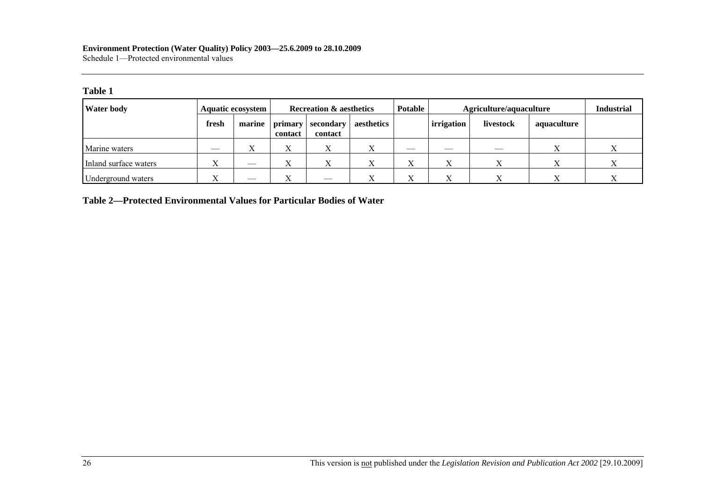#### **Environment Protection (Water Quality) Policy 2003—25.6.2009 to 28.10.2009**  Schedule 1—Protected environmental values

#### **Table 1**

| <b>Water body</b>     |       | <b>Aquatic ecosystem</b>      | <b>Recreation &amp; aesthetics</b> |                      | <b>Potable</b> |           | Agriculture/aquaculture  |              |             |  |
|-----------------------|-------|-------------------------------|------------------------------------|----------------------|----------------|-----------|--------------------------|--------------|-------------|--|
|                       | fresh | marine                        | primary<br>contact                 | secondary<br>contact | aesthetics     |           | irrigation               | livestock    | aquaculture |  |
| Marine waters         | ___   | $\Lambda$                     |                                    |                      |                |           | $\overline{\phantom{a}}$ |              |             |  |
| Inland surface waters |       | $\overline{\phantom{a}}$      |                                    |                      |                | $\Lambda$ |                          |              |             |  |
| Underground waters    | T     | $\overbrace{\phantom{13333}}$ |                                    | $-$                  |                | $\Lambda$ |                          | $\mathbf{v}$ |             |  |

**Table 2—Protected Environmental Values for Particular Bodies of Water**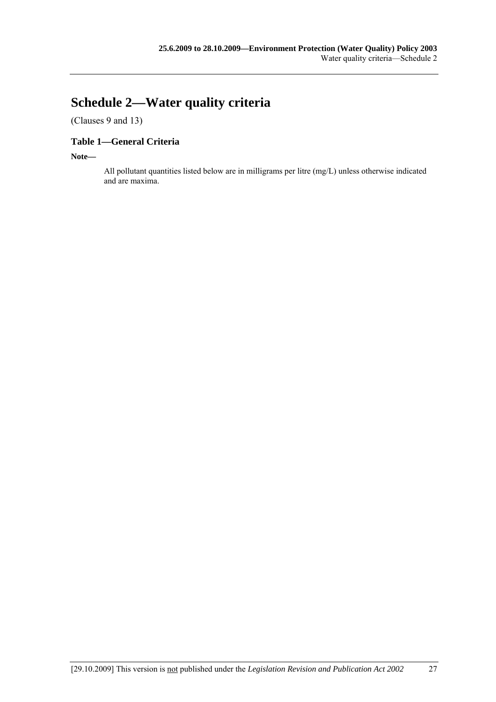# **Schedule 2—Water quality criteria**

(Clauses 9 and 13)

#### **Table 1—General Criteria**

**Note—** 

All pollutant quantities listed below are in milligrams per litre (mg/L) unless otherwise indicated and are maxima.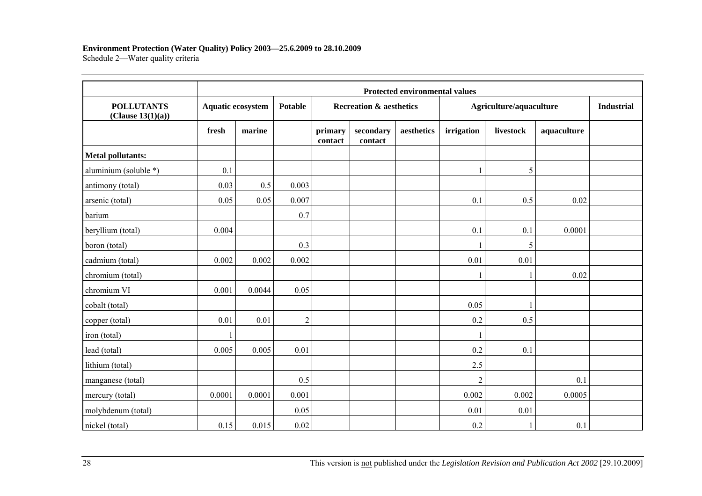#### **Environment Protection (Water Quality) Policy 2003—25.6.2009 to 28.10.2009**

Schedule 2-Water quality criteria

|                                        |                          | <b>Protected environmental values</b> |                |                    |                                    |            |                |                         |             |  |  |
|----------------------------------------|--------------------------|---------------------------------------|----------------|--------------------|------------------------------------|------------|----------------|-------------------------|-------------|--|--|
| <b>POLLUTANTS</b><br>(Clause 13(1)(a)) | <b>Aquatic ecosystem</b> |                                       | <b>Potable</b> |                    | <b>Recreation &amp; aesthetics</b> |            |                | Agriculture/aquaculture |             |  |  |
|                                        | fresh                    | marine                                |                | primary<br>contact | secondary<br>contact               | aesthetics | irrigation     | livestock               | aquaculture |  |  |
| <b>Metal pollutants:</b>               |                          |                                       |                |                    |                                    |            |                |                         |             |  |  |
| aluminium (soluble *)                  | 0.1                      |                                       |                |                    |                                    |            |                | 5                       |             |  |  |
| antimony (total)                       | 0.03                     | 0.5                                   | 0.003          |                    |                                    |            |                |                         |             |  |  |
| arsenic (total)                        | 0.05                     | 0.05                                  | 0.007          |                    |                                    |            | 0.1            | 0.5                     | 0.02        |  |  |
| barium                                 |                          |                                       | 0.7            |                    |                                    |            |                |                         |             |  |  |
| beryllium (total)                      | 0.004                    |                                       |                |                    |                                    |            | 0.1            | 0.1                     | 0.0001      |  |  |
| boron (total)                          |                          |                                       | 0.3            |                    |                                    |            |                | 5                       |             |  |  |
| cadmium (total)                        | 0.002                    | 0.002                                 | 0.002          |                    |                                    |            | 0.01           | 0.01                    |             |  |  |
| chromium (total)                       |                          |                                       |                |                    |                                    |            |                |                         | 0.02        |  |  |
| chromium VI                            | 0.001                    | 0.0044                                | 0.05           |                    |                                    |            |                |                         |             |  |  |
| cobalt (total)                         |                          |                                       |                |                    |                                    |            | 0.05           |                         |             |  |  |
| copper (total)                         | 0.01                     | 0.01                                  | $\overline{2}$ |                    |                                    |            | 0.2            | 0.5                     |             |  |  |
| iron (total)                           |                          |                                       |                |                    |                                    |            | $\mathbf{1}$   |                         |             |  |  |
| lead (total)                           | 0.005                    | 0.005                                 | 0.01           |                    |                                    |            | 0.2            | 0.1                     |             |  |  |
| lithium (total)                        |                          |                                       |                |                    |                                    |            | 2.5            |                         |             |  |  |
| manganese (total)                      |                          |                                       | 0.5            |                    |                                    |            | $\overline{2}$ |                         | 0.1         |  |  |
| mercury (total)                        | 0.0001                   | 0.0001                                | 0.001          |                    |                                    |            | 0.002          | 0.002                   | 0.0005      |  |  |
| molybdenum (total)                     |                          |                                       | 0.05           |                    |                                    |            | 0.01           | 0.01                    |             |  |  |
| nickel (total)                         | 0.15                     | 0.015                                 | 0.02           |                    |                                    |            | 0.2            |                         | 0.1         |  |  |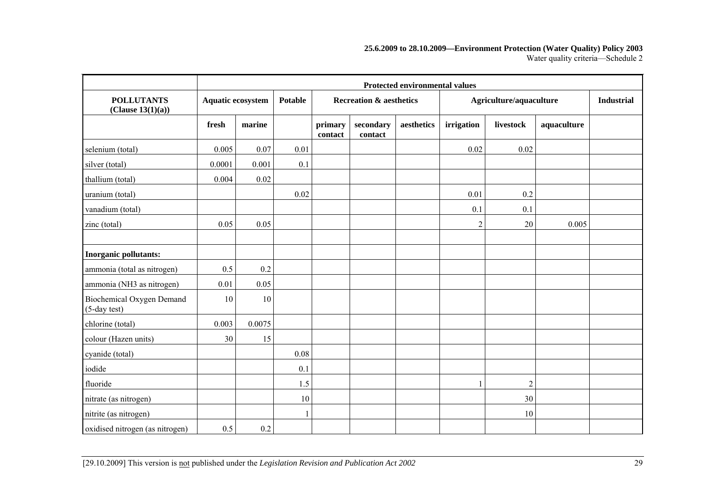#### **25.6.2009 to 28.10.2009—Environment Protection (Water Quality) Policy 2003**  Water quality criteria-Schedule 2

|                                           | <b>Protected environmental values</b> |                                     |      |                    |                                    |            |                |                         |             |  |  |
|-------------------------------------------|---------------------------------------|-------------------------------------|------|--------------------|------------------------------------|------------|----------------|-------------------------|-------------|--|--|
| <b>POLLUTANTS</b><br>(Clause 13(1)(a))    |                                       | Aquatic ecosystem<br><b>Potable</b> |      |                    | <b>Recreation &amp; aesthetics</b> |            |                | Agriculture/aquaculture |             |  |  |
|                                           | fresh                                 | marine                              |      | primary<br>contact | secondary<br>contact               | aesthetics | irrigation     | livestock               | aquaculture |  |  |
| selenium (total)                          | 0.005                                 | 0.07                                | 0.01 |                    |                                    |            | 0.02           | 0.02                    |             |  |  |
| silver (total)                            | 0.0001                                | 0.001                               | 0.1  |                    |                                    |            |                |                         |             |  |  |
| thallium (total)                          | 0.004                                 | 0.02                                |      |                    |                                    |            |                |                         |             |  |  |
| uranium (total)                           |                                       |                                     | 0.02 |                    |                                    |            | 0.01           | 0.2                     |             |  |  |
| vanadium (total)                          |                                       |                                     |      |                    |                                    |            | 0.1            | 0.1                     |             |  |  |
| zinc (total)                              | 0.05                                  | 0.05                                |      |                    |                                    |            | $\overline{2}$ | 20                      | 0.005       |  |  |
|                                           |                                       |                                     |      |                    |                                    |            |                |                         |             |  |  |
| Inorganic pollutants:                     |                                       |                                     |      |                    |                                    |            |                |                         |             |  |  |
| ammonia (total as nitrogen)               | 0.5                                   | 0.2                                 |      |                    |                                    |            |                |                         |             |  |  |
| ammonia (NH3 as nitrogen)                 | 0.01                                  | 0.05                                |      |                    |                                    |            |                |                         |             |  |  |
| Biochemical Oxygen Demand<br>(5-day test) | 10                                    | 10                                  |      |                    |                                    |            |                |                         |             |  |  |
| chlorine (total)                          | 0.003                                 | 0.0075                              |      |                    |                                    |            |                |                         |             |  |  |
| colour (Hazen units)                      | 30                                    | 15                                  |      |                    |                                    |            |                |                         |             |  |  |
| cyanide (total)                           |                                       |                                     | 0.08 |                    |                                    |            |                |                         |             |  |  |
| iodide                                    |                                       |                                     | 0.1  |                    |                                    |            |                |                         |             |  |  |
| fluoride                                  |                                       |                                     | 1.5  |                    |                                    |            |                | $\boldsymbol{2}$        |             |  |  |
| nitrate (as nitrogen)                     |                                       |                                     | 10   |                    |                                    |            |                | 30                      |             |  |  |
| nitrite (as nitrogen)                     |                                       |                                     |      |                    |                                    |            |                | 10                      |             |  |  |
| oxidised nitrogen (as nitrogen)           | 0.5                                   | 0.2                                 |      |                    |                                    |            |                |                         |             |  |  |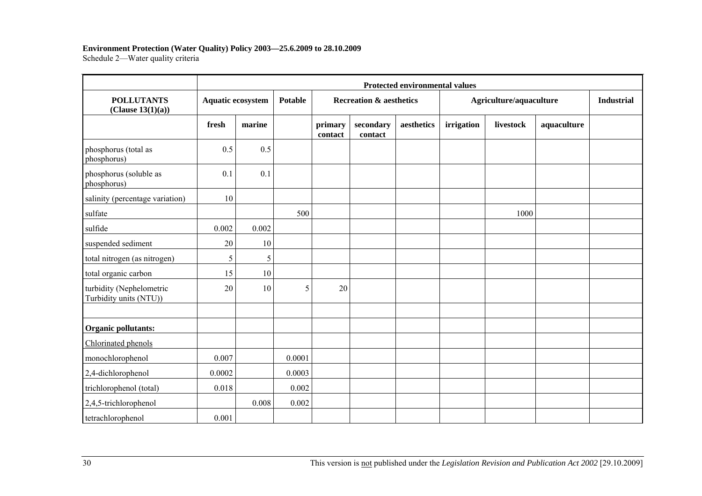#### **Environment Protection (Water Quality) Policy 2003—25.6.2009 to 28.10.2009**

Schedule 2-Water quality criteria

|                                                    | <b>Protected environmental values</b> |                          |        |                                    |                      |            |                         |           |             |                   |
|----------------------------------------------------|---------------------------------------|--------------------------|--------|------------------------------------|----------------------|------------|-------------------------|-----------|-------------|-------------------|
| <b>POLLUTANTS</b><br>(Clause 13(1)(a))             |                                       | <b>Aquatic ecosystem</b> |        | <b>Recreation &amp; aesthetics</b> |                      |            | Agriculture/aquaculture |           |             | <b>Industrial</b> |
|                                                    | fresh                                 | marine                   |        | primary<br>contact                 | secondary<br>contact | aesthetics | irrigation              | livestock | aquaculture |                   |
| phosphorus (total as<br>phosphorus)                | 0.5                                   | 0.5                      |        |                                    |                      |            |                         |           |             |                   |
| phosphorus (soluble as<br>phosphorus)              | 0.1                                   | 0.1                      |        |                                    |                      |            |                         |           |             |                   |
| salinity (percentage variation)                    | 10                                    |                          |        |                                    |                      |            |                         |           |             |                   |
| sulfate                                            |                                       |                          | 500    |                                    |                      |            |                         | 1000      |             |                   |
| sulfide                                            | 0.002                                 | 0.002                    |        |                                    |                      |            |                         |           |             |                   |
| suspended sediment                                 | 20                                    | 10                       |        |                                    |                      |            |                         |           |             |                   |
| total nitrogen (as nitrogen)                       | 5                                     | 5                        |        |                                    |                      |            |                         |           |             |                   |
| total organic carbon                               | 15                                    | 10                       |        |                                    |                      |            |                         |           |             |                   |
| turbidity (Nephelometric<br>Turbidity units (NTU)) | 20                                    | 10                       | 5      | 20                                 |                      |            |                         |           |             |                   |
|                                                    |                                       |                          |        |                                    |                      |            |                         |           |             |                   |
| Organic pollutants:                                |                                       |                          |        |                                    |                      |            |                         |           |             |                   |
| Chlorinated phenols                                |                                       |                          |        |                                    |                      |            |                         |           |             |                   |
| monochlorophenol                                   | 0.007                                 |                          | 0.0001 |                                    |                      |            |                         |           |             |                   |
| 2,4-dichlorophenol                                 | 0.0002                                |                          | 0.0003 |                                    |                      |            |                         |           |             |                   |
| trichlorophenol (total)                            | 0.018                                 |                          | 0.002  |                                    |                      |            |                         |           |             |                   |
| 2,4,5-trichlorophenol                              |                                       | 0.008                    | 0.002  |                                    |                      |            |                         |           |             |                   |
| tetrachlorophenol                                  | 0.001                                 |                          |        |                                    |                      |            |                         |           |             |                   |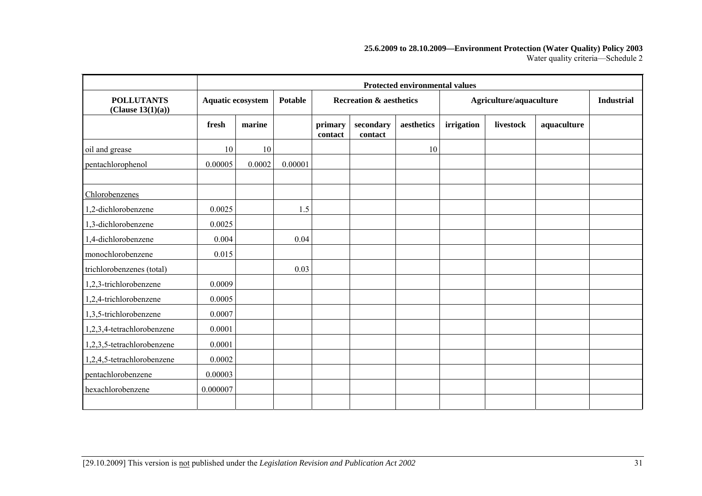#### **25.6.2009 to 28.10.2009—Environment Protection (Water Quality) Policy 2003**  Water quality criteria-Schedule 2

|                                        | <b>Protected environmental values</b> |        |                |                    |                                    |            |            |                         |             |  |
|----------------------------------------|---------------------------------------|--------|----------------|--------------------|------------------------------------|------------|------------|-------------------------|-------------|--|
| <b>POLLUTANTS</b><br>(Clause 13(1)(a)) | Aquatic ecosystem                     |        | <b>Potable</b> |                    | <b>Recreation &amp; aesthetics</b> |            |            | Agriculture/aquaculture |             |  |
|                                        | fresh                                 | marine |                | primary<br>contact | secondary<br>contact               | aesthetics | irrigation | livestock               | aquaculture |  |
| oil and grease                         | 10                                    | 10     |                |                    |                                    | 10         |            |                         |             |  |
| pentachlorophenol                      | 0.00005                               | 0.0002 | 0.00001        |                    |                                    |            |            |                         |             |  |
| Chlorobenzenes                         |                                       |        |                |                    |                                    |            |            |                         |             |  |
| 1,2-dichlorobenzene                    | 0.0025                                |        | 1.5            |                    |                                    |            |            |                         |             |  |
| 1,3-dichlorobenzene                    | 0.0025                                |        |                |                    |                                    |            |            |                         |             |  |
| 1,4-dichlorobenzene                    | 0.004                                 |        | 0.04           |                    |                                    |            |            |                         |             |  |
| monochlorobenzene                      | 0.015                                 |        |                |                    |                                    |            |            |                         |             |  |
| trichlorobenzenes (total)              |                                       |        | 0.03           |                    |                                    |            |            |                         |             |  |
| 1,2,3-trichlorobenzene                 | 0.0009                                |        |                |                    |                                    |            |            |                         |             |  |
| $1,2,4$ -trichlorobenzene              | 0.0005                                |        |                |                    |                                    |            |            |                         |             |  |
| 1,3,5-trichlorobenzene                 | 0.0007                                |        |                |                    |                                    |            |            |                         |             |  |
| 1,2,3,4-tetrachlorobenzene             | 0.0001                                |        |                |                    |                                    |            |            |                         |             |  |
| 1,2,3,5-tetrachlorobenzene             | 0.0001                                |        |                |                    |                                    |            |            |                         |             |  |
| 1,2,4,5-tetrachlorobenzene             | 0.0002                                |        |                |                    |                                    |            |            |                         |             |  |
| pentachlorobenzene                     | 0.00003                               |        |                |                    |                                    |            |            |                         |             |  |
| hexachlorobenzene                      | 0.000007                              |        |                |                    |                                    |            |            |                         |             |  |
|                                        |                                       |        |                |                    |                                    |            |            |                         |             |  |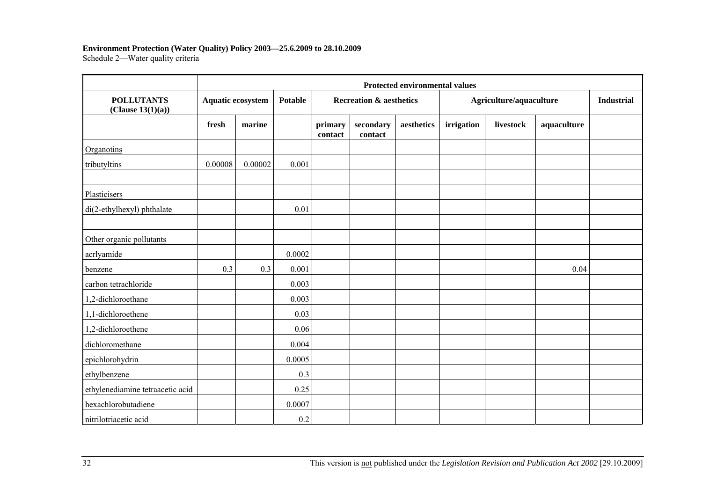#### **Environment Protection (Water Quality) Policy 2003—25.6.2009 to 28.10.2009**

Schedule 2-Water quality criteria

|                                        | <b>Protected environmental values</b> |         |         |                                    |                      |            |                         |           |             |                   |
|----------------------------------------|---------------------------------------|---------|---------|------------------------------------|----------------------|------------|-------------------------|-----------|-------------|-------------------|
| <b>POLLUTANTS</b><br>(Clause 13(1)(a)) | <b>Aquatic ecosystem</b>              |         | Potable | <b>Recreation &amp; aesthetics</b> |                      |            | Agriculture/aquaculture |           |             | <b>Industrial</b> |
|                                        | fresh                                 | marine  |         | primary<br>contact                 | secondary<br>contact | aesthetics | irrigation              | livestock | aquaculture |                   |
| Organotins                             |                                       |         |         |                                    |                      |            |                         |           |             |                   |
| tributyltins                           | 0.00008                               | 0.00002 | 0.001   |                                    |                      |            |                         |           |             |                   |
| Plasticisers                           |                                       |         |         |                                    |                      |            |                         |           |             |                   |
| di(2-ethylhexyl) phthalate             |                                       |         | 0.01    |                                    |                      |            |                         |           |             |                   |
| Other organic pollutants               |                                       |         |         |                                    |                      |            |                         |           |             |                   |
| acrlyamide                             |                                       |         | 0.0002  |                                    |                      |            |                         |           |             |                   |
| benzene                                | 0.3                                   | 0.3     | 0.001   |                                    |                      |            |                         |           | 0.04        |                   |
| carbon tetrachloride                   |                                       |         | 0.003   |                                    |                      |            |                         |           |             |                   |
| 1,2-dichloroethane                     |                                       |         | 0.003   |                                    |                      |            |                         |           |             |                   |
| 1,1-dichloroethene                     |                                       |         | 0.03    |                                    |                      |            |                         |           |             |                   |
| 1,2-dichloroethene                     |                                       |         | 0.06    |                                    |                      |            |                         |           |             |                   |
| dichloromethane                        |                                       |         | 0.004   |                                    |                      |            |                         |           |             |                   |
| epichlorohydrin                        |                                       |         | 0.0005  |                                    |                      |            |                         |           |             |                   |
| ethylbenzene                           |                                       |         | 0.3     |                                    |                      |            |                         |           |             |                   |
| ethylenediamine tetraacetic acid       |                                       |         | 0.25    |                                    |                      |            |                         |           |             |                   |
| hexachlorobutadiene                    |                                       |         | 0.0007  |                                    |                      |            |                         |           |             |                   |
| nitrilotriacetic acid                  |                                       |         | 0.2     |                                    |                      |            |                         |           |             |                   |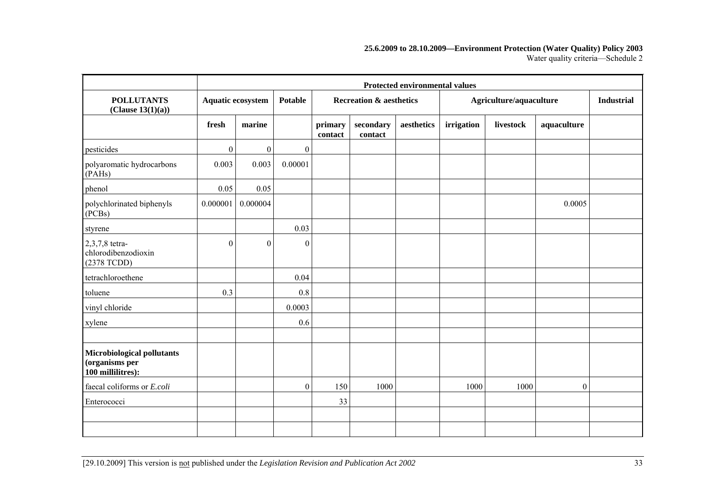#### **25.6.2009 to 28.10.2009—Environment Protection (Water Quality) Policy 2003**  Water quality criteria-Schedule 2

|                                                                   |                | <b>Protected environmental values</b> |                  |                    |                                    |            |            |                         |                  |                   |
|-------------------------------------------------------------------|----------------|---------------------------------------|------------------|--------------------|------------------------------------|------------|------------|-------------------------|------------------|-------------------|
| <b>POLLUTANTS</b><br>(Clause 13(1)(a))                            |                | <b>Aquatic ecosystem</b>              | <b>Potable</b>   |                    | <b>Recreation &amp; aesthetics</b> |            |            | Agriculture/aquaculture |                  | <b>Industrial</b> |
|                                                                   | fresh          | marine                                |                  | primary<br>contact | secondary<br>contact               | aesthetics | irrigation | livestock               | aquaculture      |                   |
| pesticides                                                        | $\overline{0}$ | $\boldsymbol{0}$                      | $\boldsymbol{0}$ |                    |                                    |            |            |                         |                  |                   |
| polyaromatic hydrocarbons<br>(PAHs)                               | 0.003          | 0.003                                 | 0.00001          |                    |                                    |            |            |                         |                  |                   |
| phenol                                                            | 0.05           | 0.05                                  |                  |                    |                                    |            |            |                         |                  |                   |
| polychlorinated biphenyls<br>(PCBs)                               | 0.000001       | 0.000004                              |                  |                    |                                    |            |            |                         | 0.0005           |                   |
| styrene                                                           |                |                                       | 0.03             |                    |                                    |            |            |                         |                  |                   |
| 2,3,7,8 tetra-<br>chlorodibenzodioxin<br>$(2378$ TCDD)            | $\overline{0}$ | $\boldsymbol{0}$                      | $\boldsymbol{0}$ |                    |                                    |            |            |                         |                  |                   |
| tetrachloroethene                                                 |                |                                       | 0.04             |                    |                                    |            |            |                         |                  |                   |
| toluene                                                           | 0.3            |                                       | 0.8              |                    |                                    |            |            |                         |                  |                   |
| vinyl chloride                                                    |                |                                       | 0.0003           |                    |                                    |            |            |                         |                  |                   |
| xylene                                                            |                |                                       | 0.6              |                    |                                    |            |            |                         |                  |                   |
|                                                                   |                |                                       |                  |                    |                                    |            |            |                         |                  |                   |
| Microbiological pollutants<br>(organisms per<br>100 millilitres): |                |                                       |                  |                    |                                    |            |            |                         |                  |                   |
| faecal coliforms or E.coli                                        |                |                                       | $\boldsymbol{0}$ | 150                | 1000                               |            | 1000       | 1000                    | $\boldsymbol{0}$ |                   |
| Enterococci                                                       |                |                                       |                  | 33                 |                                    |            |            |                         |                  |                   |
|                                                                   |                |                                       |                  |                    |                                    |            |            |                         |                  |                   |
|                                                                   |                |                                       |                  |                    |                                    |            |            |                         |                  |                   |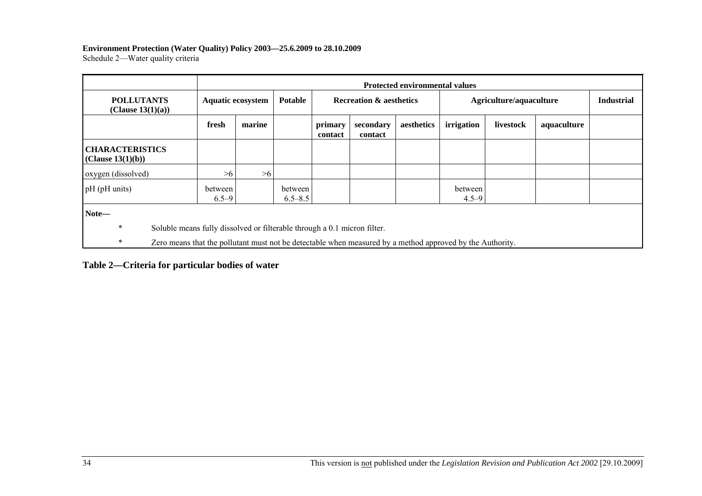#### **Environment Protection (Water Quality) Policy 2003—25.6.2009 to 28.10.2009**

Schedule 2-Water quality criteria

|                                             |                                                                          | <b>Protected environmental values</b> |                        |                    |                                    |            |                                                                                                           |                         |                   |  |
|---------------------------------------------|--------------------------------------------------------------------------|---------------------------------------|------------------------|--------------------|------------------------------------|------------|-----------------------------------------------------------------------------------------------------------|-------------------------|-------------------|--|
| <b>POLLUTANTS</b><br>(Clause $13(1)(a)$ )   | <b>Aquatic ecosystem</b>                                                 |                                       | <b>Potable</b>         |                    | <b>Recreation &amp; aesthetics</b> |            |                                                                                                           | Agriculture/aquaculture | <b>Industrial</b> |  |
|                                             | fresh                                                                    | marine                                |                        | primary<br>contact | secondary<br>contact               | aesthetics | irrigation                                                                                                | livestock               | aquaculture       |  |
| <b>CHARACTERISTICS</b><br>(Clause 13(1)(b)) |                                                                          |                                       |                        |                    |                                    |            |                                                                                                           |                         |                   |  |
| oxygen (dissolved)                          | >6                                                                       | >6                                    |                        |                    |                                    |            |                                                                                                           |                         |                   |  |
| pH (pH units)                               | between<br>$6.5 - 9$                                                     |                                       | between<br>$6.5 - 8.5$ |                    |                                    |            | between<br>$4.5 - 9$                                                                                      |                         |                   |  |
| Note-                                       |                                                                          |                                       |                        |                    |                                    |            |                                                                                                           |                         |                   |  |
| $\ast$                                      | Soluble means fully dissolved or filterable through a 0.1 micron filter. |                                       |                        |                    |                                    |            |                                                                                                           |                         |                   |  |
| *                                           |                                                                          |                                       |                        |                    |                                    |            | Zero means that the pollutant must not be detectable when measured by a method approved by the Authority. |                         |                   |  |

**Table 2—Criteria for particular bodies of water**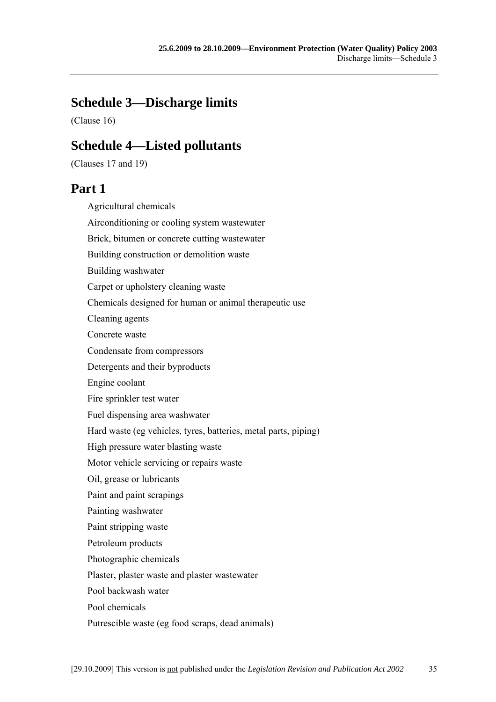# **Schedule 3—Discharge limits**

(Clause 16)

## **Schedule 4—Listed pollutants**

(Clauses 17 and 19)

## **Part 1**

Agricultural chemicals

Airconditioning or cooling system wastewater

Brick, bitumen or concrete cutting wastewater

Building construction or demolition waste

Building washwater

Carpet or upholstery cleaning waste

Chemicals designed for human or animal therapeutic use

Cleaning agents

Concrete waste

Condensate from compressors

Detergents and their byproducts

Engine coolant

Fire sprinkler test water

Fuel dispensing area washwater

Hard waste (eg vehicles, tyres, batteries, metal parts, piping)

High pressure water blasting waste

Motor vehicle servicing or repairs waste

Oil, grease or lubricants

Paint and paint scrapings

Painting washwater

Paint stripping waste

Petroleum products

Photographic chemicals

Plaster, plaster waste and plaster wastewater

Pool backwash water

Pool chemicals

Putrescible waste (eg food scraps, dead animals)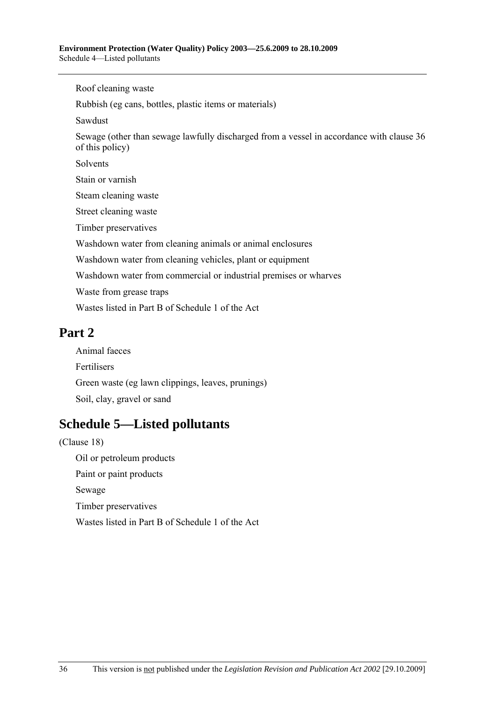Roof cleaning waste Rubbish (eg cans, bottles, plastic items or materials) Sawdust Sewage (other than sewage lawfully discharged from a vessel in accordance with clause 36 of this policy) Solvents Stain or varnish Steam cleaning waste Street cleaning waste Timber preservatives Washdown water from cleaning animals or animal enclosures Washdown water from cleaning vehicles, plant or equipment Washdown water from commercial or industrial premises or wharves Waste from grease traps Wastes listed in Part B of Schedule 1 of the Act

# **Part 2**

Animal faeces Fertilisers Green waste (eg lawn clippings, leaves, prunings) Soil, clay, gravel or sand

# **Schedule 5—Listed pollutants**

(Clause 18) Oil or petroleum products Paint or paint products Sewage Timber preservatives Wastes listed in Part B of Schedule 1 of the Act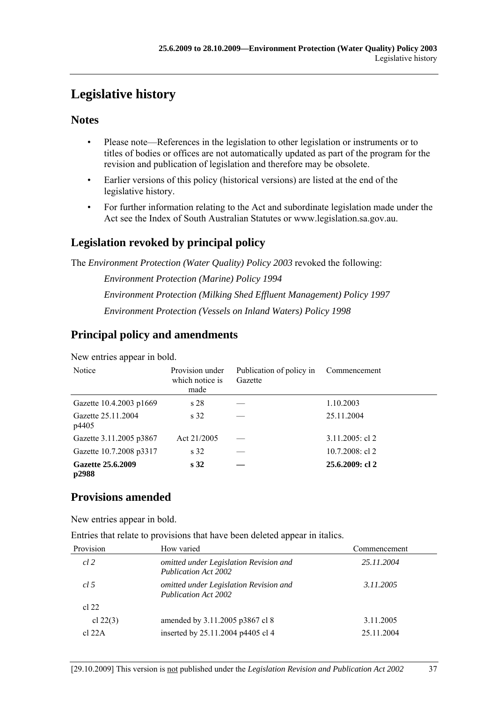# **Legislative history**

## **Notes**

- Please note—References in the legislation to other legislation or instruments or to titles of bodies or offices are not automatically updated as part of the program for the revision and publication of legislation and therefore may be obsolete.
- Earlier versions of this policy (historical versions) are listed at the end of the legislative history.
- For further information relating to the Act and subordinate legislation made under the Act see the Index of South Australian Statutes or www.legislation.sa.gov.au.

## **Legislation revoked by principal policy**

The *Environment Protection (Water Quality) Policy 2003* revoked the following:

*Environment Protection (Marine) Policy 1994 Environment Protection (Milking Shed Effluent Management) Policy 1997 Environment Protection (Vessels on Inland Waters) Policy 1998*

## **Principal policy and amendments**

New entries appear in bold.

| Notice                      | Provision under<br>which notice is<br>made | Publication of policy in<br>Gazette | Commencement       |
|-----------------------------|--------------------------------------------|-------------------------------------|--------------------|
| Gazette 10.4.2003 p1669     | s <sub>28</sub>                            |                                     | 1.10.2003          |
| Gazette 25.11.2004<br>p4405 | s <sub>32</sub>                            |                                     | 25.11.2004         |
| Gazette 3.11.2005 p3867     | Act 21/2005                                |                                     | $3.11.2005$ : cl 2 |
| Gazette 10.7.2008 p3317     | s 32                                       |                                     | $10.7.2008$ : cl 2 |
| Gazette 25.6.2009<br>p2988  | s <sub>32</sub>                            |                                     | 25.6.2009: cl 2    |

## **Provisions amended**

New entries appear in bold.

Entries that relate to provisions that have been deleted appear in italics.

| Provision  | How varied                                                            | Commencement |
|------------|-----------------------------------------------------------------------|--------------|
| cl 2       | omitted under Legislation Revision and<br><b>Publication Act 2002</b> | 25.11.2004   |
| cl.5       | omitted under Legislation Revision and<br><b>Publication Act 2002</b> | 3.11.2005    |
| cl 22      |                                                                       |              |
| cl $22(3)$ | amended by 3.11.2005 p3867 cl 8                                       | 3.11.2005    |
| $cl$ 22A   | inserted by 25.11.2004 p4405 cl 4                                     | 25.11.2004   |